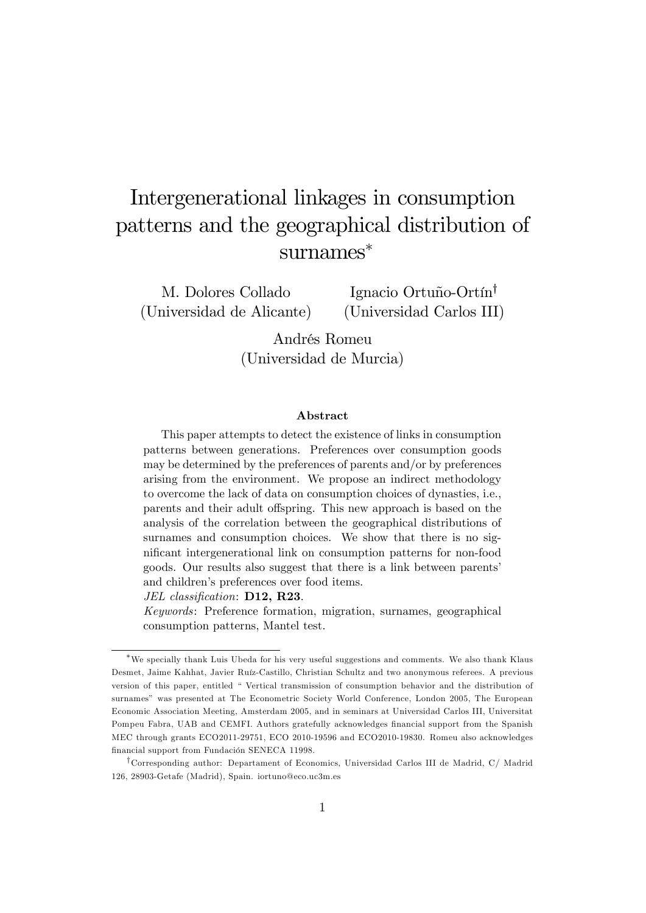# Intergenerational linkages in consumption patterns and the geographical distribution of  $\mathrm{surnames}^*$

M. Dolores Collado (Universidad de Alicante)

Ignacio Ortuño-Ortín<sup>†</sup> (Universidad Carlos III)

Andrés Romeu (Universidad de Murcia)

#### Abstract

This paper attempts to detect the existence of links in consumption patterns between generations. Preferences over consumption goods may be determined by the preferences of parents and/or by preferences arising from the environment. We propose an indirect methodology to overcome the lack of data on consumption choices of dynasties, *i.e.*, parents and their adult offspring. This new approach is based on the analysis of the correlation between the geographical distributions of surnames and consumption choices. We show that there is no significant intergenerational link on consumption patterns for non-food goods. Our results also suggest that there is a link between parents' and children's preferences over food items.

JEL classification: D12, R23.

*Keywords*: Preference formation, migration, surnames, geographical consumption patterns, Mantel test.

<sup>\*</sup>We specially thank Luis Ubeda for his very useful suggestions and comments. We also thank Klaus Desmet, Jaime Kahhat, Javier Ruíz-Castillo, Christian Schultz and two anonymous referees. A previous version of this paper, entitled "Vertical transmission of consumption behavior and the distribution of surnames" was presented at The Econometric Society World Conference, London 2005, The European Economic Association Meeting, Amsterdam 2005, and in seminars at Universidad Carlos III, Universitat Pompeu Fabra, UAB and CEMFI. Authors gratefully acknowledges financial support from the Spanish MEC through grants ECO2011-29751, ECO 2010-19596 and ECO2010-19830. Romeu also acknowledges financial support from Fundación SENECA 11998.

<sup>&</sup>lt;sup>†</sup>Corresponding author: Departament of Economics, Universidad Carlos III de Madrid, C/ Madrid 126, 28903-Getafe (Madrid), Spain. iortuno@eco.uc3m.es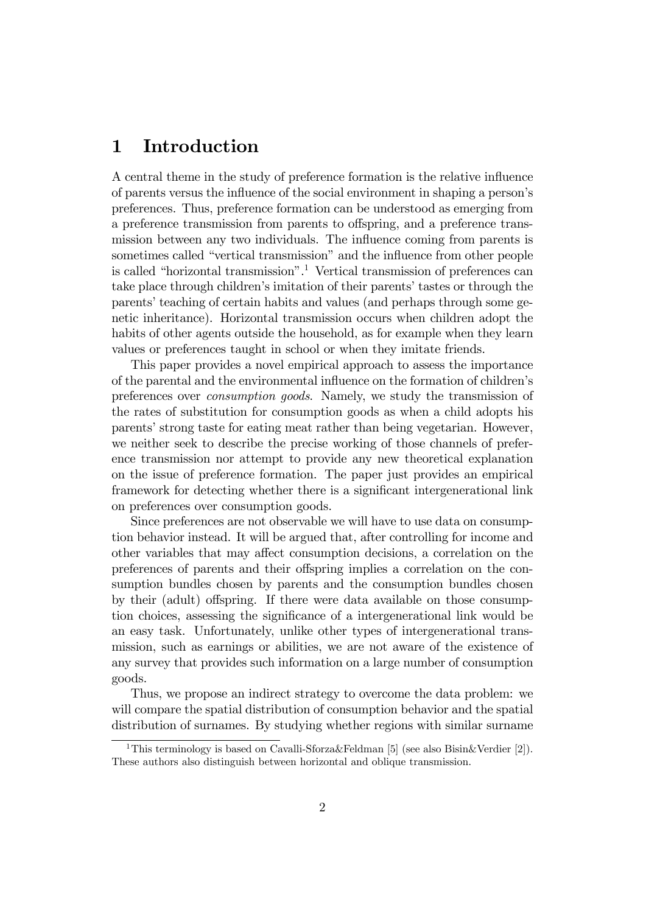## 1 Introduction

A central theme in the study of preference formation is the relative ináuence of parents versus the influence of the social environment in shaping a person's preferences. Thus, preference formation can be understood as emerging from a preference transmission from parents to offspring, and a preference transmission between any two individuals. The influence coming from parents is sometimes called "vertical transmission" and the influence from other people is called "horizontal transmission".<sup>1</sup> Vertical transmission of preferences can take place through children's imitation of their parents' tastes or through the parents' teaching of certain habits and values (and perhaps through some genetic inheritance). Horizontal transmission occurs when children adopt the habits of other agents outside the household, as for example when they learn values or preferences taught in school or when they imitate friends.

This paper provides a novel empirical approach to assess the importance of the parental and the environmental ináuence on the formation of childrenís preferences over consumption goods. Namely, we study the transmission of the rates of substitution for consumption goods as when a child adopts his parents' strong taste for eating meat rather than being vegetarian. However, we neither seek to describe the precise working of those channels of preference transmission nor attempt to provide any new theoretical explanation on the issue of preference formation. The paper just provides an empirical framework for detecting whether there is a significant intergenerational link on preferences over consumption goods.

Since preferences are not observable we will have to use data on consumption behavior instead. It will be argued that, after controlling for income and other variables that may affect consumption decisions, a correlation on the preferences of parents and their offspring implies a correlation on the consumption bundles chosen by parents and the consumption bundles chosen by their (adult) offspring. If there were data available on those consumption choices, assessing the significance of a intergenerational link would be an easy task. Unfortunately, unlike other types of intergenerational transmission, such as earnings or abilities, we are not aware of the existence of any survey that provides such information on a large number of consumption goods.

Thus, we propose an indirect strategy to overcome the data problem: we will compare the spatial distribution of consumption behavior and the spatial distribution of surnames. By studying whether regions with similar surname

<sup>&</sup>lt;sup>1</sup>This terminology is based on Cavalli-Sforza&Feldman [5] (see also Bisin&Verdier [2]). These authors also distinguish between horizontal and oblique transmission.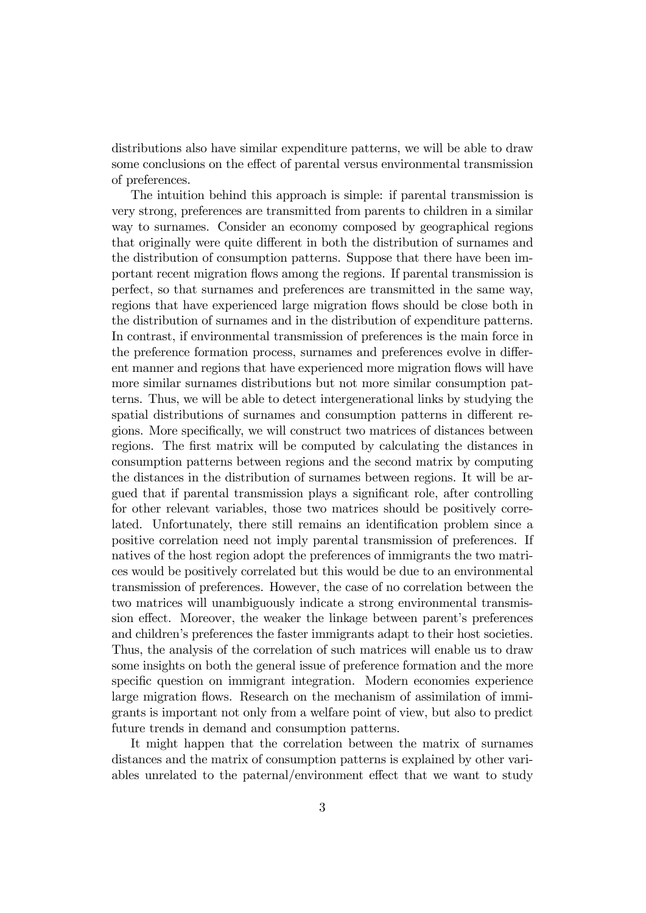distributions also have similar expenditure patterns, we will be able to draw some conclusions on the effect of parental versus environmental transmission of preferences.

The intuition behind this approach is simple: if parental transmission is very strong, preferences are transmitted from parents to children in a similar way to surnames. Consider an economy composed by geographical regions that originally were quite different in both the distribution of surnames and the distribution of consumption patterns. Suppose that there have been important recent migration flows among the regions. If parental transmission is perfect, so that surnames and preferences are transmitted in the same way, regions that have experienced large migration flows should be close both in the distribution of surnames and in the distribution of expenditure patterns. In contrast, if environmental transmission of preferences is the main force in the preference formation process, surnames and preferences evolve in different manner and regions that have experienced more migration flows will have more similar surnames distributions but not more similar consumption patterns. Thus, we will be able to detect intergenerational links by studying the spatial distributions of surnames and consumption patterns in different regions. More specifically, we will construct two matrices of distances between regions. The first matrix will be computed by calculating the distances in consumption patterns between regions and the second matrix by computing the distances in the distribution of surnames between regions. It will be argued that if parental transmission plays a significant role, after controlling for other relevant variables, those two matrices should be positively correlated. Unfortunately, there still remains an identification problem since a positive correlation need not imply parental transmission of preferences. If natives of the host region adopt the preferences of immigrants the two matrices would be positively correlated but this would be due to an environmental transmission of preferences. However, the case of no correlation between the two matrices will unambiguously indicate a strong environmental transmission effect. Moreover, the weaker the linkage between parent's preferences and children's preferences the faster immigrants adapt to their host societies. Thus, the analysis of the correlation of such matrices will enable us to draw some insights on both the general issue of preference formation and the more specific question on immigrant integration. Modern economies experience large migration flows. Research on the mechanism of assimilation of immigrants is important not only from a welfare point of view, but also to predict future trends in demand and consumption patterns.

It might happen that the correlation between the matrix of surnames distances and the matrix of consumption patterns is explained by other variables unrelated to the paternal/environment effect that we want to study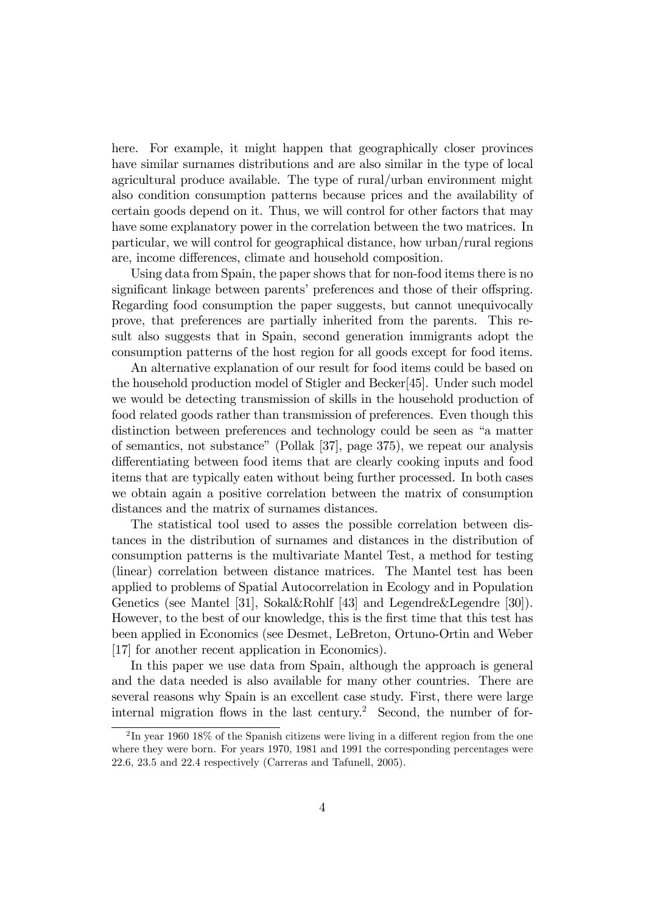here. For example, it might happen that geographically closer provinces have similar surnames distributions and are also similar in the type of local agricultural produce available. The type of rural/urban environment might also condition consumption patterns because prices and the availability of certain goods depend on it. Thus, we will control for other factors that may have some explanatory power in the correlation between the two matrices. In particular, we will control for geographical distance, how urban/rural regions are, income differences, climate and household composition.

Using data from Spain, the paper shows that for non-food items there is no significant linkage between parents' preferences and those of their offspring. Regarding food consumption the paper suggests, but cannot unequivocally prove, that preferences are partially inherited from the parents. This result also suggests that in Spain, second generation immigrants adopt the consumption patterns of the host region for all goods except for food items.

An alternative explanation of our result for food items could be based on the household production model of Stigler and Becker[45]. Under such model we would be detecting transmission of skills in the household production of food related goods rather than transmission of preferences. Even though this distinction between preferences and technology could be seen as "a matter of semantics, not substanceî (Pollak [37], page 375), we repeat our analysis differentiating between food items that are clearly cooking inputs and food items that are typically eaten without being further processed. In both cases we obtain again a positive correlation between the matrix of consumption distances and the matrix of surnames distances.

The statistical tool used to asses the possible correlation between distances in the distribution of surnames and distances in the distribution of consumption patterns is the multivariate Mantel Test, a method for testing (linear) correlation between distance matrices. The Mantel test has been applied to problems of Spatial Autocorrelation in Ecology and in Population Genetics (see Mantel [31], Sokal&Rohlf [43] and Legendre&Legendre [30]). However, to the best of our knowledge, this is the Örst time that this test has been applied in Economics (see Desmet, LeBreton, Ortuno-Ortin and Weber [17] for another recent application in Economics).

In this paper we use data from Spain, although the approach is general and the data needed is also available for many other countries. There are several reasons why Spain is an excellent case study. First, there were large internal migration flows in the last century.<sup>2</sup> Second, the number of for-

 $^{2}$ In year 1960 18% of the Spanish citizens were living in a different region from the one where they were born. For years 1970, 1981 and 1991 the corresponding percentages were 22.6, 23.5 and 22.4 respectively (Carreras and Tafunell, 2005).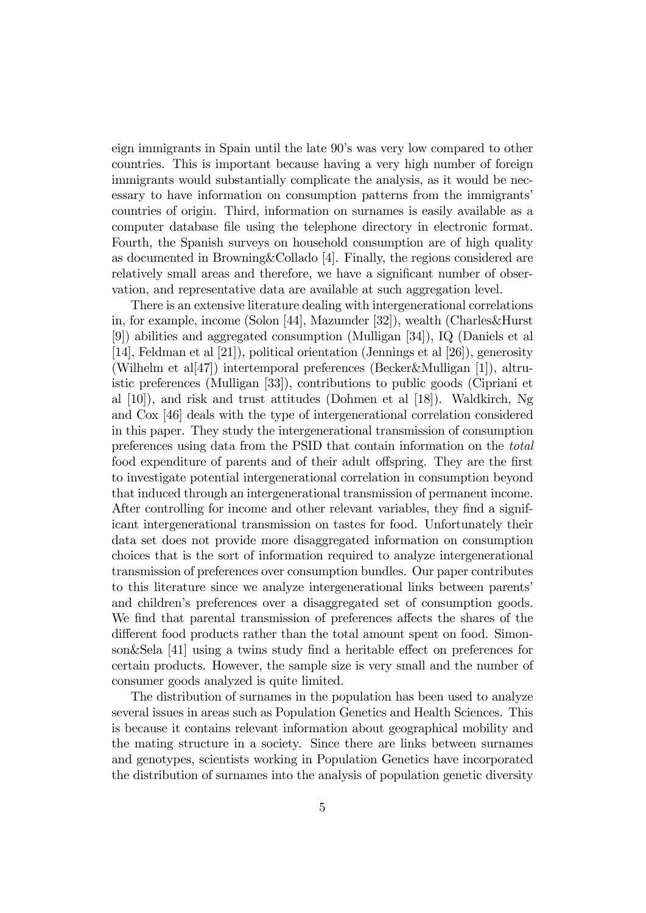eign immigrants in Spain until the late 90ís was very low compared to other countries. This is important because having a very high number of foreign immigrants would substantially complicate the analysis, as it would be necessary to have information on consumption patterns from the immigrants' countries of origin. Third, information on surnames is easily available as a computer database file using the telephone directory in electronic format. Fourth, the Spanish surveys on household consumption are of high quality as documented in Browning&Collado [4]. Finally, the regions considered are relatively small areas and therefore, we have a significant number of observation, and representative data are available at such aggregation level.

There is an extensive literature dealing with intergenerational correlations in, for example, income (Solon [44], Mazumder [32]), wealth (Charles&Hurst [9]) abilities and aggregated consumption (Mulligan [34]), IQ (Daniels et al [14], Feldman et al [21]), political orientation (Jennings et al [26]), generosity (Wilhelm et al $(47)$ ) intertemporal preferences (Becker&Mulligan [1]), altruistic preferences (Mulligan [33]), contributions to public goods (Cipriani et al [10]), and risk and trust attitudes (Dohmen et al [18]). Waldkirch, Ng and Cox [46] deals with the type of intergenerational correlation considered in this paper. They study the intergenerational transmission of consumption preferences using data from the PSID that contain information on the total food expenditure of parents and of their adult offspring. They are the first to investigate potential intergenerational correlation in consumption beyond that induced through an intergenerational transmission of permanent income. After controlling for income and other relevant variables, they find a significant intergenerational transmission on tastes for food. Unfortunately their data set does not provide more disaggregated information on consumption choices that is the sort of information required to analyze intergenerational transmission of preferences over consumption bundles. Our paper contributes to this literature since we analyze intergenerational links between parentsí and children's preferences over a disaggregated set of consumption goods. We find that parental transmission of preferences affects the shares of the different food products rather than the total amount spent on food. Simonson $&$ Sela [41] using a twins study find a heritable effect on preferences for certain products. However, the sample size is very small and the number of consumer goods analyzed is quite limited.

The distribution of surnames in the population has been used to analyze several issues in areas such as Population Genetics and Health Sciences. This is because it contains relevant information about geographical mobility and the mating structure in a society. Since there are links between surnames and genotypes, scientists working in Population Genetics have incorporated the distribution of surnames into the analysis of population genetic diversity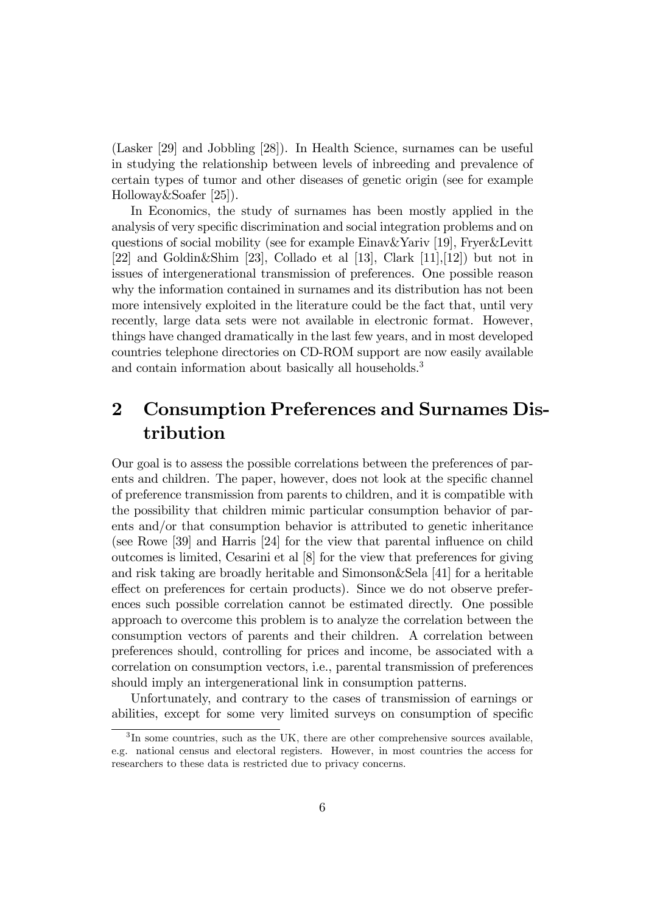(Lasker [29] and Jobbling [28]). In Health Science, surnames can be useful in studying the relationship between levels of inbreeding and prevalence of certain types of tumor and other diseases of genetic origin (see for example Holloway&Soafer [25]).

In Economics, the study of surnames has been mostly applied in the analysis of very specific discrimination and social integration problems and on questions of social mobility (see for example Einav&Yariv [19], Fryer&Levitt [22] and Goldin&Shim [23], Collado et al  $[13]$ , Clark  $[11],[12]$  but not in issues of intergenerational transmission of preferences. One possible reason why the information contained in surnames and its distribution has not been more intensively exploited in the literature could be the fact that, until very recently, large data sets were not available in electronic format. However, things have changed dramatically in the last few years, and in most developed countries telephone directories on CD-ROM support are now easily available and contain information about basically all households.<sup>3</sup>

# 2 Consumption Preferences and Surnames Distribution

Our goal is to assess the possible correlations between the preferences of parents and children. The paper, however, does not look at the specific channel of preference transmission from parents to children, and it is compatible with the possibility that children mimic particular consumption behavior of parents and/or that consumption behavior is attributed to genetic inheritance (see Rowe  $[39]$  and Harris  $[24]$  for the view that parental influence on child outcomes is limited, Cesarini et al [8] for the view that preferences for giving and risk taking are broadly heritable and Simonson&Sela [41] for a heritable effect on preferences for certain products). Since we do not observe preferences such possible correlation cannot be estimated directly. One possible approach to overcome this problem is to analyze the correlation between the consumption vectors of parents and their children. A correlation between preferences should, controlling for prices and income, be associated with a correlation on consumption vectors, i.e., parental transmission of preferences should imply an intergenerational link in consumption patterns.

Unfortunately, and contrary to the cases of transmission of earnings or abilities, except for some very limited surveys on consumption of specific

<sup>&</sup>lt;sup>3</sup>In some countries, such as the UK, there are other comprehensive sources available, e.g. national census and electoral registers. However, in most countries the access for researchers to these data is restricted due to privacy concerns.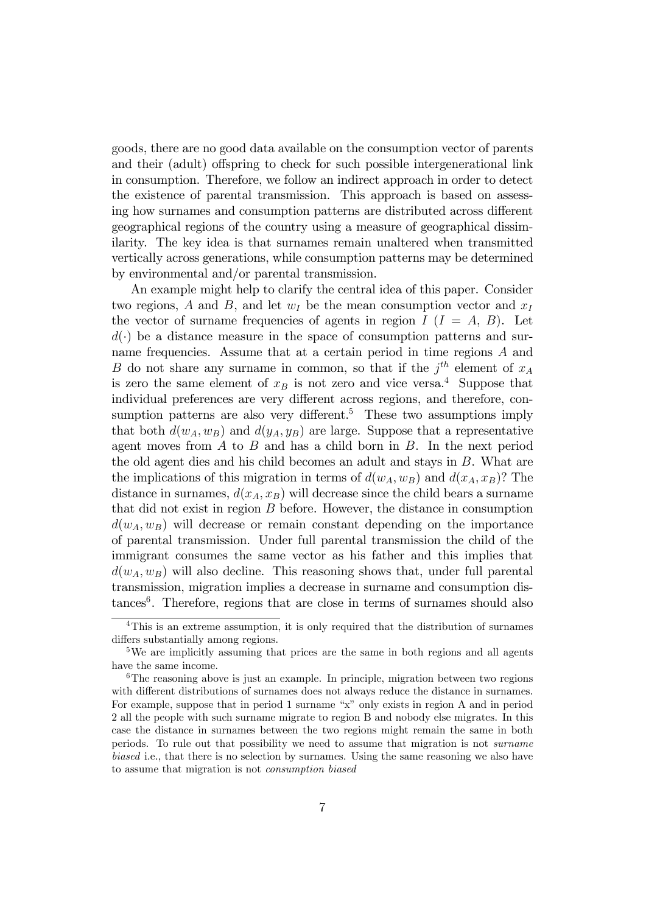goods, there are no good data available on the consumption vector of parents and their (adult) offspring to check for such possible intergenerational link in consumption. Therefore, we follow an indirect approach in order to detect the existence of parental transmission. This approach is based on assessing how surnames and consumption patterns are distributed across different geographical regions of the country using a measure of geographical dissimilarity. The key idea is that surnames remain unaltered when transmitted vertically across generations, while consumption patterns may be determined by environmental and/or parental transmission.

An example might help to clarify the central idea of this paper. Consider two regions, A and B, and let  $w<sub>I</sub>$  be the mean consumption vector and  $x<sub>I</sub>$ the vector of surname frequencies of agents in region  $I$   $(I = A, B)$ . Let  $d(\cdot)$  be a distance measure in the space of consumption patterns and surname frequencies. Assume that at a certain period in time regions A and B do not share any surname in common, so that if the  $j<sup>th</sup>$  element of  $x_A$ is zero the same element of  $x_B$  is not zero and vice versa.<sup>4</sup> Suppose that individual preferences are very different across regions, and therefore, consumption patterns are also very different.<sup>5</sup> These two assumptions imply that both  $d(w_A, w_B)$  and  $d(y_A, y_B)$  are large. Suppose that a representative agent moves from  $A$  to  $B$  and has a child born in  $B$ . In the next period the old agent dies and his child becomes an adult and stays in B. What are the implications of this migration in terms of  $d(w_A, w_B)$  and  $d(x_A, x_B)$ ? The distance in surnames,  $d(x_A, x_B)$  will decrease since the child bears a surname that did not exist in region  $B$  before. However, the distance in consumption  $d(w_A, w_B)$  will decrease or remain constant depending on the importance of parental transmission. Under full parental transmission the child of the immigrant consumes the same vector as his father and this implies that  $d(w_A, w_B)$  will also decline. This reasoning shows that, under full parental transmission, migration implies a decrease in surname and consumption distances<sup>6</sup>. Therefore, regions that are close in terms of surnames should also

<sup>4</sup>This is an extreme assumption, it is only required that the distribution of surnames differs substantially among regions.

<sup>&</sup>lt;sup>5</sup>We are implicitly assuming that prices are the same in both regions and all agents have the same income.

<sup>&</sup>lt;sup>6</sup>The reasoning above is just an example. In principle, migration between two regions with different distributions of surnames does not always reduce the distance in surnames. For example, suppose that in period 1 surname  $x^x$  only exists in region A and in period 2 all the people with such surname migrate to region B and nobody else migrates. In this case the distance in surnames between the two regions might remain the same in both periods. To rule out that possibility we need to assume that migration is not surname biased i.e., that there is no selection by surnames. Using the same reasoning we also have to assume that migration is not consumption biased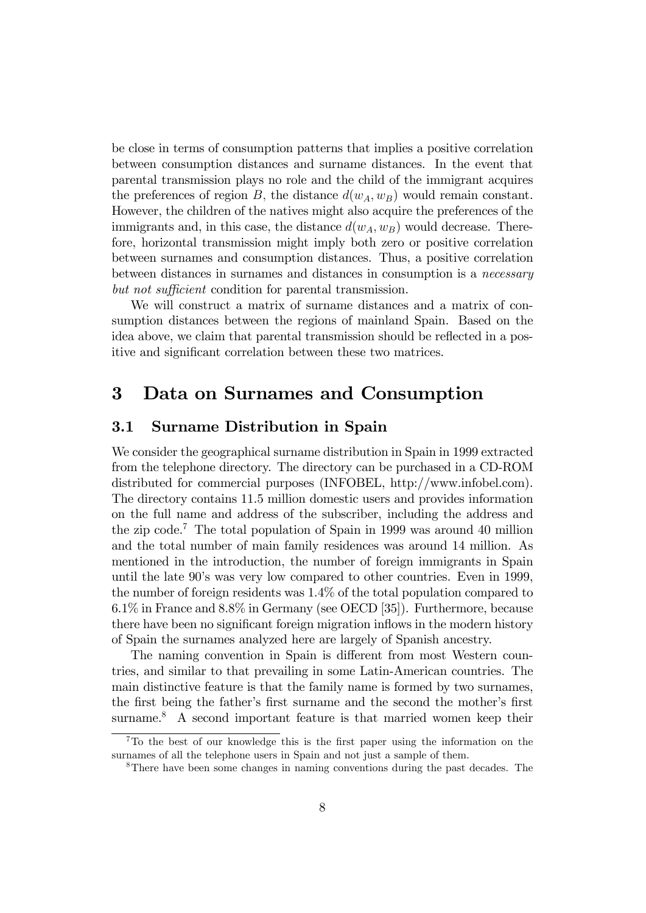be close in terms of consumption patterns that implies a positive correlation between consumption distances and surname distances. In the event that parental transmission plays no role and the child of the immigrant acquires the preferences of region B, the distance  $d(w_A, w_B)$  would remain constant. However, the children of the natives might also acquire the preferences of the immigrants and, in this case, the distance  $d(w_A, w_B)$  would decrease. Therefore, horizontal transmission might imply both zero or positive correlation between surnames and consumption distances. Thus, a positive correlation between distances in surnames and distances in consumption is a necessary but not sufficient condition for parental transmission.

We will construct a matrix of surname distances and a matrix of consumption distances between the regions of mainland Spain. Based on the idea above, we claim that parental transmission should be reflected in a positive and significant correlation between these two matrices.

## 3 Data on Surnames and Consumption

#### 3.1 Surname Distribution in Spain

We consider the geographical surname distribution in Spain in 1999 extracted from the telephone directory. The directory can be purchased in a CD-ROM distributed for commercial purposes (INFOBEL, http://www.infobel.com). The directory contains 11.5 million domestic users and provides information on the full name and address of the subscriber, including the address and the zip code.<sup>7</sup> The total population of Spain in 1999 was around 40 million and the total number of main family residences was around 14 million. As mentioned in the introduction, the number of foreign immigrants in Spain until the late 90's was very low compared to other countries. Even in 1999, the number of foreign residents was 1.4% of the total population compared to 6.1% in France and 8.8% in Germany (see OECD [35]). Furthermore, because there have been no significant foreign migration inflows in the modern history of Spain the surnames analyzed here are largely of Spanish ancestry.

The naming convention in Spain is different from most Western countries, and similar to that prevailing in some Latin-American countries. The main distinctive feature is that the family name is formed by two surnames, the first being the father's first surname and the second the mother's first surname.<sup>8</sup> A second important feature is that married women keep their

 $7T$ o the best of our knowledge this is the first paper using the information on the surnames of all the telephone users in Spain and not just a sample of them.

<sup>8</sup>There have been some changes in naming conventions during the past decades. The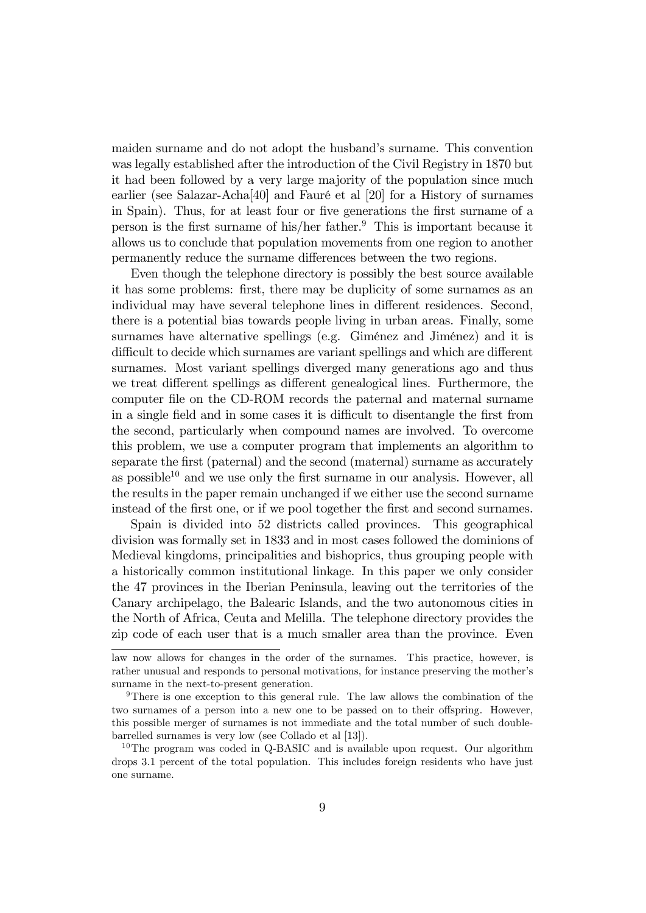maiden surname and do not adopt the husband's surname. This convention was legally established after the introduction of the Civil Registry in 1870 but it had been followed by a very large majority of the population since much earlier (see Salazar-Acha[40] and FaurÈ et al [20] for a History of surnames in Spain). Thus, for at least four or five generations the first surname of a person is the first surname of his/her father. $9$  This is important because it allows us to conclude that population movements from one region to another permanently reduce the surname differences between the two regions.

Even though the telephone directory is possibly the best source available it has some problems: first, there may be duplicity of some surnames as an individual may have several telephone lines in different residences. Second, there is a potential bias towards people living in urban areas. Finally, some surnames have alternative spellings (e.g. Giménez and Jiménez) and it is difficult to decide which surnames are variant spellings and which are different surnames. Most variant spellings diverged many generations ago and thus we treat different spellings as different genealogical lines. Furthermore, the computer Öle on the CD-ROM records the paternal and maternal surname in a single field and in some cases it is difficult to disentangle the first from the second, particularly when compound names are involved. To overcome this problem, we use a computer program that implements an algorithm to separate the Örst (paternal) and the second (maternal) surname as accurately as possible<sup>10</sup> and we use only the first surname in our analysis. However, all the results in the paper remain unchanged if we either use the second surname instead of the first one, or if we pool together the first and second surnames.

Spain is divided into 52 districts called provinces. This geographical division was formally set in 1833 and in most cases followed the dominions of Medieval kingdoms, principalities and bishoprics, thus grouping people with a historically common institutional linkage. In this paper we only consider the 47 provinces in the Iberian Peninsula, leaving out the territories of the Canary archipelago, the Balearic Islands, and the two autonomous cities in the North of Africa, Ceuta and Melilla. The telephone directory provides the zip code of each user that is a much smaller area than the province. Even

law now allows for changes in the order of the surnames. This practice, however, is rather unusual and responds to personal motivations, for instance preserving the mother's surname in the next-to-present generation.

<sup>9</sup>There is one exception to this general rule. The law allows the combination of the two surnames of a person into a new one to be passed on to their offspring. However, this possible merger of surnames is not immediate and the total number of such doublebarrelled surnames is very low (see Collado et al [13]).

<sup>&</sup>lt;sup>10</sup>The program was coded in Q-BASIC and is available upon request. Our algorithm drops 3.1 percent of the total population. This includes foreign residents who have just one surname.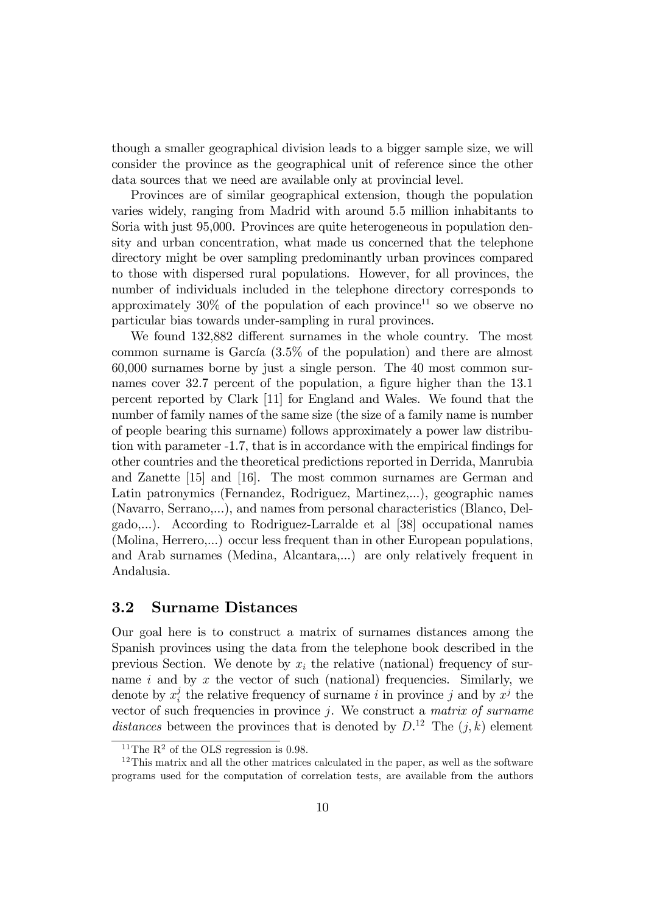though a smaller geographical division leads to a bigger sample size, we will consider the province as the geographical unit of reference since the other data sources that we need are available only at provincial level.

Provinces are of similar geographical extension, though the population varies widely, ranging from Madrid with around 5.5 million inhabitants to Soria with just 95,000. Provinces are quite heterogeneous in population density and urban concentration, what made us concerned that the telephone directory might be over sampling predominantly urban provinces compared to those with dispersed rural populations. However, for all provinces, the number of individuals included in the telephone directory corresponds to approximately  $30\%$  of the population of each province<sup>11</sup> so we observe no particular bias towards under-sampling in rural provinces.

We found 132,882 different surnames in the whole country. The most common surname is García  $(3.5\% \text{ of the population})$  and there are almost 60,000 surnames borne by just a single person. The 40 most common surnames cover 32.7 percent of the population, a figure higher than the 13.1 percent reported by Clark [11] for England and Wales. We found that the number of family names of the same size (the size of a family name is number of people bearing this surname) follows approximately a power law distribution with parameter -1.7, that is in accordance with the empirical findings for other countries and the theoretical predictions reported in Derrida, Manrubia and Zanette [15] and [16]. The most common surnames are German and Latin patronymics (Fernandez, Rodriguez, Martinez,...), geographic names (Navarro, Serrano,...), and names from personal characteristics (Blanco, Delgado,...). According to Rodriguez-Larralde et al [38] occupational names (Molina, Herrero,...) occur less frequent than in other European populations, and Arab surnames (Medina, Alcantara,...) are only relatively frequent in Andalusia.

#### 3.2 Surname Distances

Our goal here is to construct a matrix of surnames distances among the Spanish provinces using the data from the telephone book described in the previous Section. We denote by  $x_i$  the relative (national) frequency of surname i and by  $x$  the vector of such (national) frequencies. Similarly, we denote by  $x_i^j$  $i$  the relative frequency of surname i in province j and by  $x^{j}$  the vector of such frequencies in province  $j$ . We construct a matrix of surname distances between the provinces that is denoted by  $D^{12}$ . The  $(j, k)$  element

<sup>&</sup>lt;sup>11</sup>The  $\mathbb{R}^2$  of the OLS regression is 0.98.

 $12$ This matrix and all the other matrices calculated in the paper, as well as the software programs used for the computation of correlation tests, are available from the authors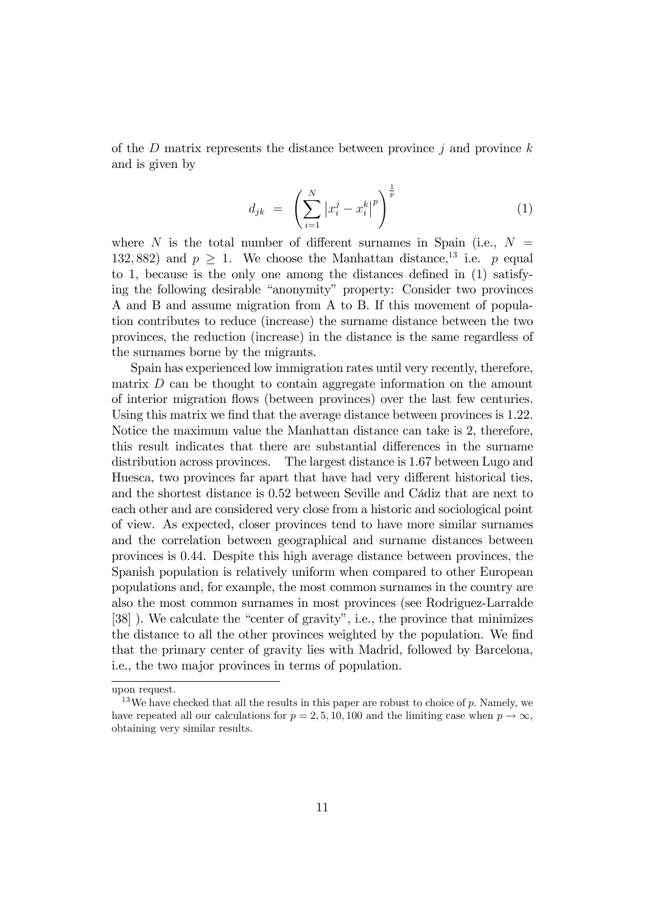of the D matrix represents the distance between province  $i$  and province  $k$ and is given by

$$
d_{jk} = \left(\sum_{i=1}^{N} |x_i^j - x_i^k|^p\right)^{\frac{1}{p}}
$$
 (1)

where N is the total number of different surnames in Spain (i.e.,  $N =$ 132,882) and  $p \geq 1$ . We choose the Manhattan distance,<sup>13</sup> i.e. p equal to 1, because is the only one among the distances defined in  $(1)$  satisfying the following desirable "anonymity" property: Consider two provinces A and B and assume migration from A to B. If this movement of population contributes to reduce (increase) the surname distance between the two provinces, the reduction (increase) in the distance is the same regardless of the surnames borne by the migrants.

Spain has experienced low immigration rates until very recently, therefore, matrix  $D$  can be thought to contain aggregate information on the amount of interior migration áows (between provinces) over the last few centuries. Using this matrix we find that the average distance between provinces is 1.22. Notice the maximum value the Manhattan distance can take is 2, therefore, this result indicates that there are substantial differences in the surname distribution across provinces. The largest distance is 1.67 between Lugo and Huesca, two provinces far apart that have had very different historical ties, and the shortest distance is 0.52 between Seville and Cádiz that are next to each other and are considered very close from a historic and sociological point of view. As expected, closer provinces tend to have more similar surnames and the correlation between geographical and surname distances between provinces is 0.44. Despite this high average distance between provinces, the Spanish population is relatively uniform when compared to other European populations and, for example, the most common surnames in the country are also the most common surnames in most provinces (see Rodriguez-Larralde  $[38]$ ). We calculate the "center of gravity", i.e., the province that minimizes the distance to all the other provinces weighted by the population. We find that the primary center of gravity lies with Madrid, followed by Barcelona, i.e., the two major provinces in terms of population.

upon request.

<sup>&</sup>lt;sup>13</sup>We have checked that all the results in this paper are robust to choice of p. Namely, we have repeated all our calculations for  $p = 2, 5, 10, 100$  and the limiting case when  $p \to \infty$ . obtaining very similar results.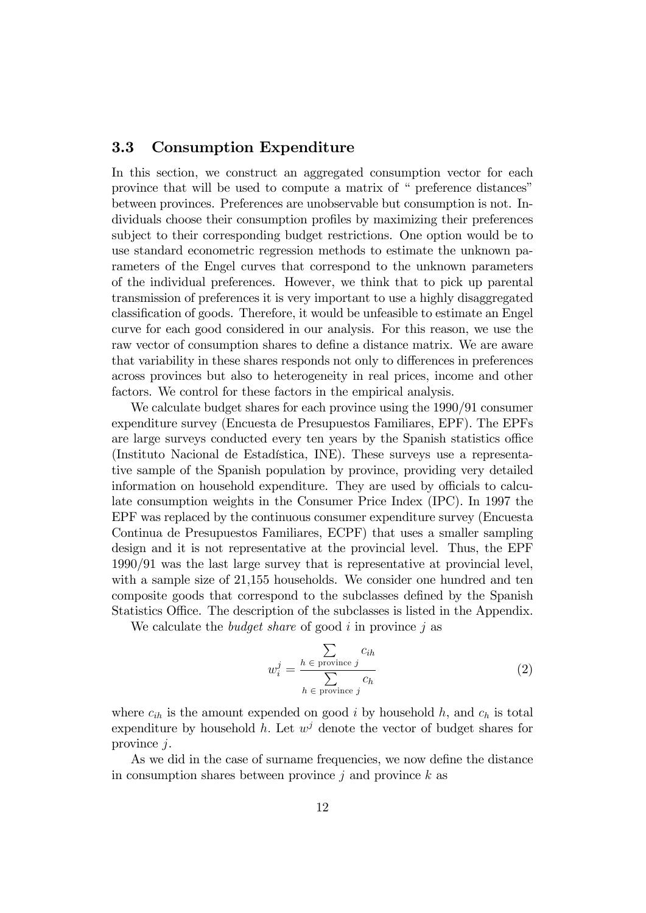#### 3.3 Consumption Expenditure

In this section, we construct an aggregated consumption vector for each province that will be used to compute a matrix of " preference distances" between provinces. Preferences are unobservable but consumption is not. Individuals choose their consumption profiles by maximizing their preferences subject to their corresponding budget restrictions. One option would be to use standard econometric regression methods to estimate the unknown parameters of the Engel curves that correspond to the unknown parameters of the individual preferences. However, we think that to pick up parental transmission of preferences it is very important to use a highly disaggregated classiÖcation of goods. Therefore, it would be unfeasible to estimate an Engel curve for each good considered in our analysis. For this reason, we use the raw vector of consumption shares to define a distance matrix. We are aware that variability in these shares responds not only to differences in preferences across provinces but also to heterogeneity in real prices, income and other factors. We control for these factors in the empirical analysis.

We calculate budget shares for each province using the 1990/91 consumer expenditure survey (Encuesta de Presupuestos Familiares, EPF). The EPFs are large surveys conducted every ten years by the Spanish statistics office (Instituto Nacional de Estadística, INE). These surveys use a representative sample of the Spanish population by province, providing very detailed information on household expenditure. They are used by officials to calculate consumption weights in the Consumer Price Index (IPC). In 1997 the EPF was replaced by the continuous consumer expenditure survey (Encuesta Continua de Presupuestos Familiares, ECPF) that uses a smaller sampling design and it is not representative at the provincial level. Thus, the EPF 1990/91 was the last large survey that is representative at provincial level, with a sample size of 21,155 households. We consider one hundred and ten composite goods that correspond to the subclasses defined by the Spanish Statistics Office. The description of the subclasses is listed in the Appendix.

We calculate the *budget share* of good  $i$  in province  $j$  as

$$
w_i^j = \frac{\sum_{h \in \text{ province } j} c_{ih}}{\sum_{h \in \text{ province } j} c_h}
$$
 (2)

where  $c_{ih}$  is the amount expended on good i by household h, and  $c_h$  is total expenditure by household h. Let  $w^j$  denote the vector of budget shares for province j.

As we did in the case of surname frequencies, we now define the distance in consumption shares between province  $j$  and province  $k$  as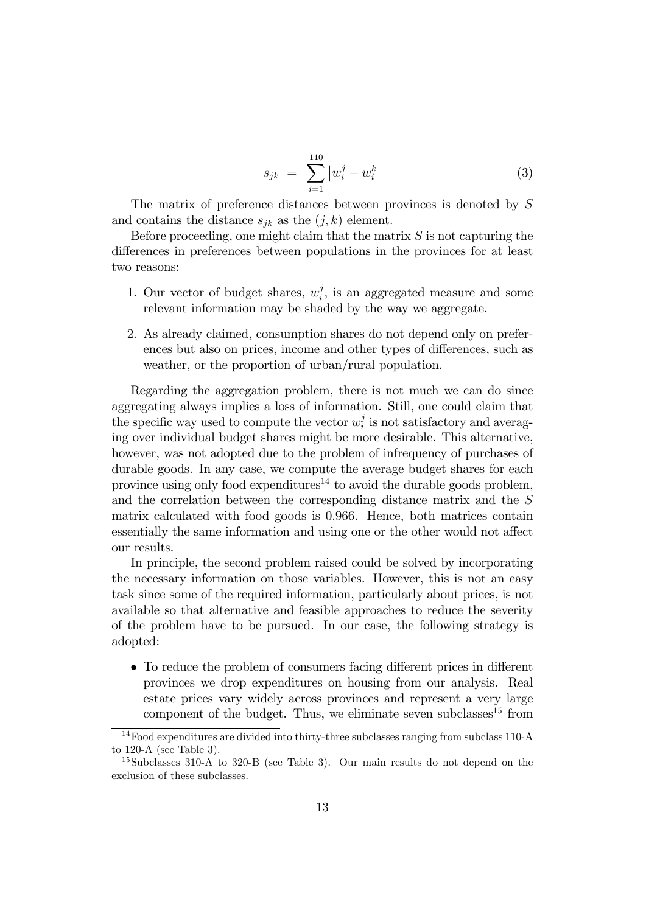$$
s_{jk} = \sum_{i=1}^{110} |w_i^j - w_i^k|
$$
 (3)

The matrix of preference distances between provinces is denoted by S and contains the distance  $s_{jk}$  as the  $(j, k)$  element.

Before proceeding, one might claim that the matrix  $S$  is not capturing the differences in preferences between populations in the provinces for at least two reasons:

- 1. Our vector of budget shares,  $w_i^j$  $i_i$ , is an aggregated measure and some relevant information may be shaded by the way we aggregate.
- 2. As already claimed, consumption shares do not depend only on preferences but also on prices, income and other types of differences, such as weather, or the proportion of urban/rural population.

Regarding the aggregation problem, there is not much we can do since aggregating always implies a loss of information. Still, one could claim that the specific way used to compute the vector  $w_i^j$  $i$  is not satisfactory and averaging over individual budget shares might be more desirable. This alternative, however, was not adopted due to the problem of infrequency of purchases of durable goods. In any case, we compute the average budget shares for each province using only food expenditures<sup>14</sup> to avoid the durable goods problem, and the correlation between the corresponding distance matrix and the S matrix calculated with food goods is 0.966. Hence, both matrices contain essentially the same information and using one or the other would not affect our results.

In principle, the second problem raised could be solved by incorporating the necessary information on those variables. However, this is not an easy task since some of the required information, particularly about prices, is not available so that alternative and feasible approaches to reduce the severity of the problem have to be pursued. In our case, the following strategy is adopted:

• To reduce the problem of consumers facing different prices in different provinces we drop expenditures on housing from our analysis. Real estate prices vary widely across provinces and represent a very large component of the budget. Thus, we eliminate seven subclasses<sup>15</sup> from

 $14$  Food expenditures are divided into thirty-three subclasses ranging from subclass  $110-A$ to 120-A (see Table 3).

<sup>15</sup>Subclasses 310-A to 320-B (see Table 3). Our main results do not depend on the exclusion of these subclasses.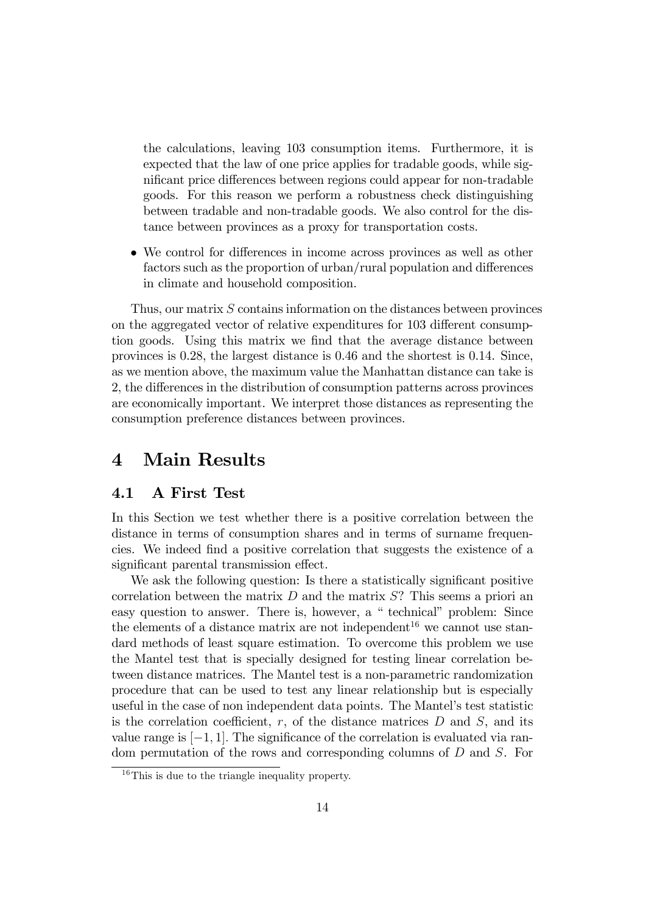the calculations, leaving 103 consumption items. Furthermore, it is expected that the law of one price applies for tradable goods, while significant price differences between regions could appear for non-tradable goods. For this reason we perform a robustness check distinguishing between tradable and non-tradable goods. We also control for the distance between provinces as a proxy for transportation costs.

• We control for differences in income across provinces as well as other factors such as the proportion of urban/rural population and differences in climate and household composition.

Thus, our matrix S contains information on the distances between provinces on the aggregated vector of relative expenditures for 103 different consumption goods. Using this matrix we find that the average distance between provinces is 0.28, the largest distance is 0.46 and the shortest is 0.14. Since, as we mention above, the maximum value the Manhattan distance can take is 2, the differences in the distribution of consumption patterns across provinces are economically important. We interpret those distances as representing the consumption preference distances between provinces.

## 4 Main Results

#### 4.1 A First Test

In this Section we test whether there is a positive correlation between the distance in terms of consumption shares and in terms of surname frequencies. We indeed Önd a positive correlation that suggests the existence of a significant parental transmission effect.

We ask the following question: Is there a statistically significant positive correlation between the matrix  $D$  and the matrix  $S$ ? This seems a priori an easy question to answer. There is, however, a " technical" problem: Since the elements of a distance matrix are not independent<sup>16</sup> we cannot use standard methods of least square estimation. To overcome this problem we use the Mantel test that is specially designed for testing linear correlation between distance matrices. The Mantel test is a non-parametric randomization procedure that can be used to test any linear relationship but is especially useful in the case of non independent data points. The Mantel's test statistic is the correlation coefficient,  $r$ , of the distance matrices  $D$  and  $S$ , and its value range is  $[-1, 1]$ . The significance of the correlation is evaluated via random permutation of the rows and corresponding columns of D and S. For

<sup>16</sup>This is due to the triangle inequality property.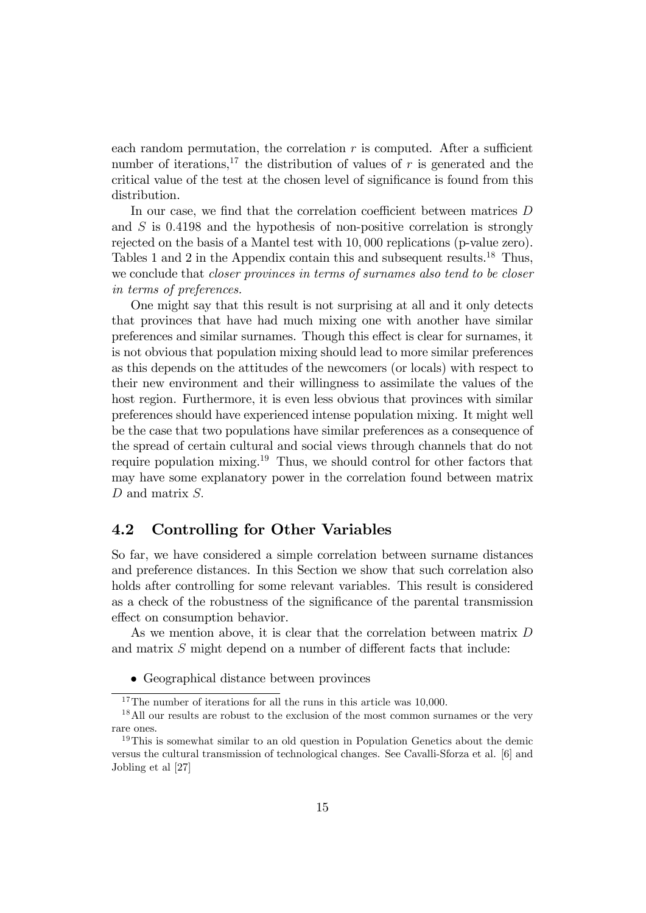each random permutation, the correlation  $r$  is computed. After a sufficient number of iterations,<sup>17</sup> the distribution of values of r is generated and the critical value of the test at the chosen level of significance is found from this distribution.

In our case, we find that the correlation coefficient between matrices  $D$ and  $S$  is 0.4198 and the hypothesis of non-positive correlation is strongly rejected on the basis of a Mantel test with 10; 000 replications (p-value zero). Tables 1 and 2 in the Appendix contain this and subsequent results.<sup>18</sup> Thus, we conclude that closer provinces in terms of surnames also tend to be closer in terms of preferences.

One might say that this result is not surprising at all and it only detects that provinces that have had much mixing one with another have similar preferences and similar surnames. Though this effect is clear for surnames, it is not obvious that population mixing should lead to more similar preferences as this depends on the attitudes of the newcomers (or locals) with respect to their new environment and their willingness to assimilate the values of the host region. Furthermore, it is even less obvious that provinces with similar preferences should have experienced intense population mixing. It might well be the case that two populations have similar preferences as a consequence of the spread of certain cultural and social views through channels that do not require population mixing.<sup>19</sup> Thus, we should control for other factors that may have some explanatory power in the correlation found between matrix  $D$  and matrix  $S$ .

#### 4.2 Controlling for Other Variables

So far, we have considered a simple correlation between surname distances and preference distances. In this Section we show that such correlation also holds after controlling for some relevant variables. This result is considered as a check of the robustness of the significance of the parental transmission effect on consumption behavior.

As we mention above, it is clear that the correlation between matrix  $D$ and matrix  $S$  might depend on a number of different facts that include:

Geographical distance between provinces

<sup>&</sup>lt;sup>17</sup>The number of iterations for all the runs in this article was 10,000.

<sup>&</sup>lt;sup>18</sup>All our results are robust to the exclusion of the most common surnames or the very rare ones.

<sup>&</sup>lt;sup>19</sup>This is somewhat similar to an old question in Population Genetics about the demic versus the cultural transmission of technological changes. See Cavalli-Sforza et al. [6] and Jobling et al [27]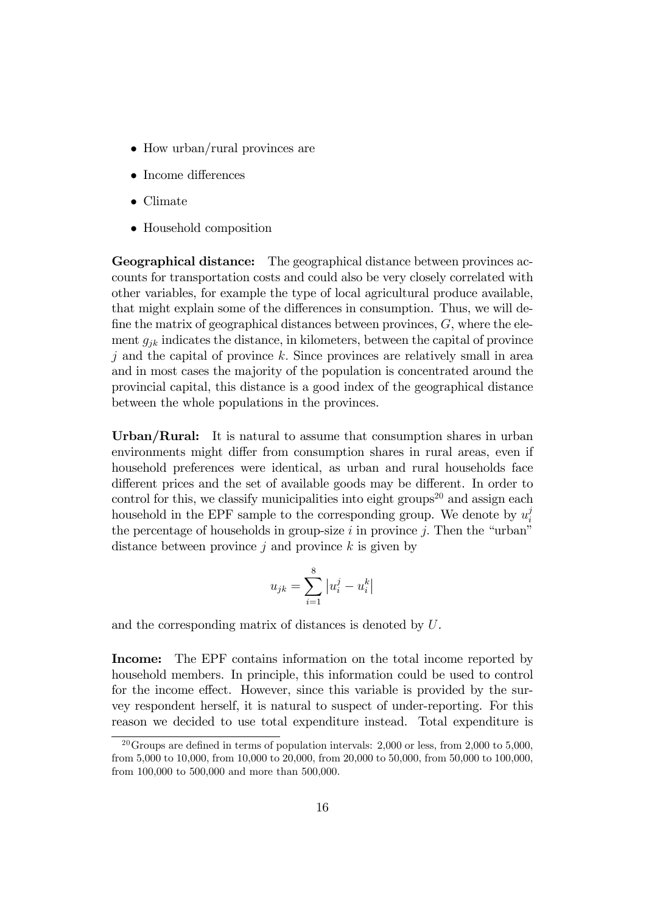- How urban/rural provinces are
- $\bullet$  Income differences
- Climate
- Household composition

Geographical distance: The geographical distance between provinces accounts for transportation costs and could also be very closely correlated with other variables, for example the type of local agricultural produce available, that might explain some of the differences in consumption. Thus, we will define the matrix of geographical distances between provinces,  $G$ , where the element  $g_{jk}$  indicates the distance, in kilometers, between the capital of province  $j$  and the capital of province  $k$ . Since provinces are relatively small in area and in most cases the majority of the population is concentrated around the provincial capital, this distance is a good index of the geographical distance between the whole populations in the provinces.

Urban/Rural: It is natural to assume that consumption shares in urban environments might differ from consumption shares in rural areas, even if household preferences were identical, as urban and rural households face different prices and the set of available goods may be different. In order to control for this, we classify municipalities into eight groups<sup>20</sup> and assign each household in the EPF sample to the corresponding group. We denote by  $u_i^j$ i the percentage of households in group-size  $i$  in province  $j$ . Then the "urban" distance between province  $j$  and province  $k$  is given by

$$
u_{jk} = \sum_{i=1}^{8} |u_i^j - u_i^k|
$$

and the corresponding matrix of distances is denoted by U.

Income: The EPF contains information on the total income reported by household members. In principle, this information could be used to control for the income effect. However, since this variable is provided by the survey respondent herself, it is natural to suspect of under-reporting. For this reason we decided to use total expenditure instead. Total expenditure is

<sup>&</sup>lt;sup>20</sup>Groups are defined in terms of population intervals: 2,000 or less, from 2,000 to 5,000, from 5,000 to 10,000, from 10,000 to 20,000, from 20,000 to 50,000, from 50,000 to 100,000, from 100,000 to 500,000 and more than 500,000.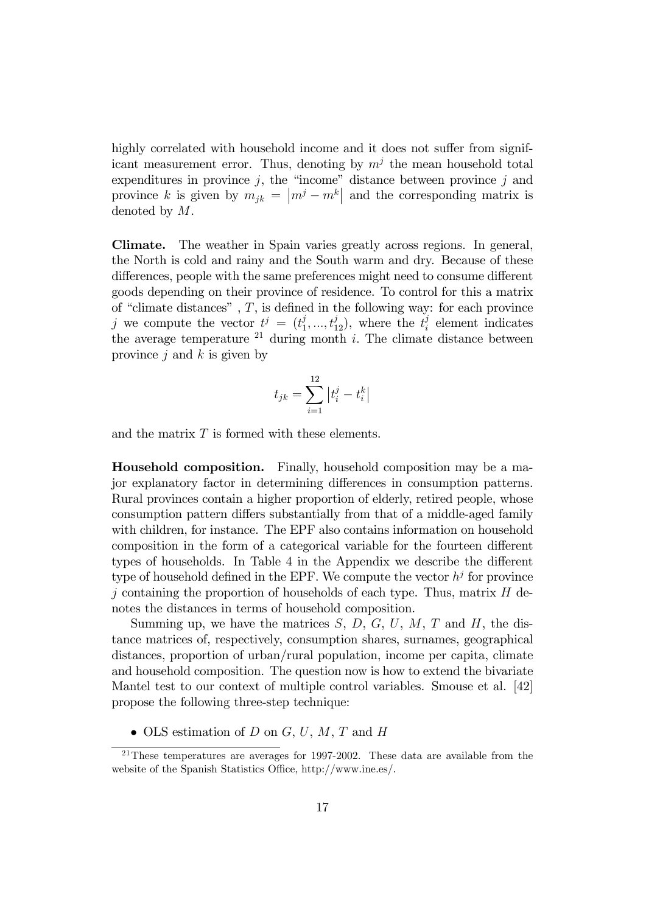highly correlated with household income and it does not suffer from significant measurement error. Thus, denoting by  $m<sup>j</sup>$  the mean household total expenditures in province  $j$ , the "income" distance between province  $j$  and province k is given by  $m_{jk} = |m^j - m^k|$  and the corresponding matrix is denoted by M.

Climate. The weather in Spain varies greatly across regions. In general, the North is cold and rainy and the South warm and dry. Because of these differences, people with the same preferences might need to consume different goods depending on their province of residence. To control for this a matrix of "climate distances",  $T$ , is defined in the following way: for each province j we compute the vector  $t^j = (t_1^j)$  $i_1^j, ..., t_{12}^j$ , where the  $t_i^j$  $i$  element indicates the average temperature  $21$  during month i. The climate distance between province  $j$  and  $k$  is given by

$$
t_{jk} = \sum_{i=1}^{12} |t_i^j - t_i^k|
$$

and the matrix  $T$  is formed with these elements.

Household composition. Finally, household composition may be a major explanatory factor in determining differences in consumption patterns. Rural provinces contain a higher proportion of elderly, retired people, whose consumption pattern differs substantially from that of a middle-aged family with children, for instance. The EPF also contains information on household composition in the form of a categorical variable for the fourteen different types of households. In Table 4 in the Appendix we describe the different type of household defined in the EPF. We compute the vector  $h^j$  for province j containing the proportion of households of each type. Thus, matrix  $H$  denotes the distances in terms of household composition.

Summing up, we have the matrices  $S, D, G, U, M, T$  and  $H$ , the distance matrices of, respectively, consumption shares, surnames, geographical distances, proportion of urban/rural population, income per capita, climate and household composition. The question now is how to extend the bivariate Mantel test to our context of multiple control variables. Smouse et al. [42] propose the following three-step technique:

• OLS estimation of  $D$  on  $G, U, M, T$  and  $H$ 

<sup>&</sup>lt;sup>21</sup>These temperatures are averages for 1997-2002. These data are available from the website of the Spanish Statistics Office, http://www.ine.es/.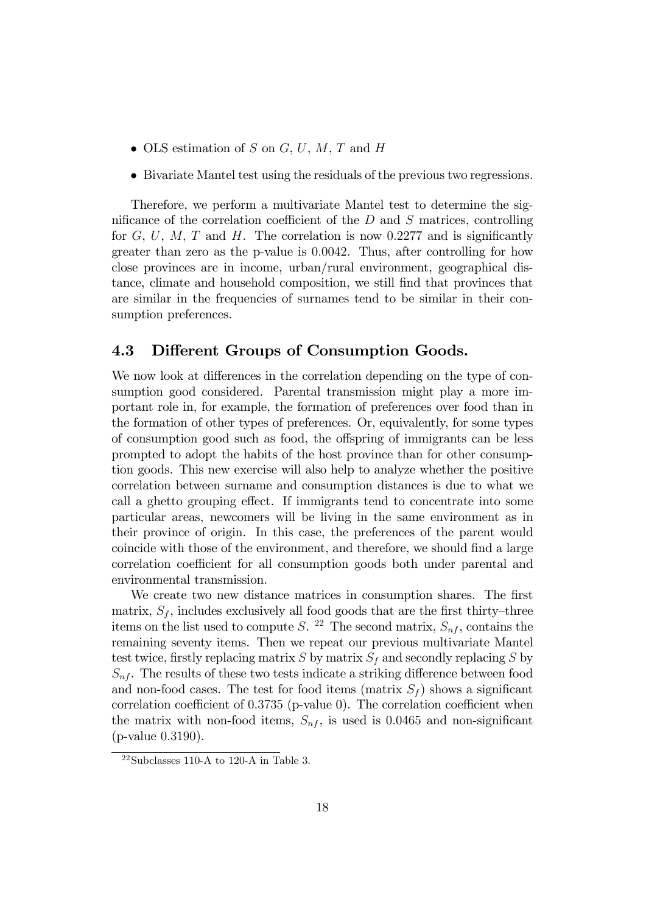- OLS estimation of S on G, U, M, T and H
- Bivariate Mantel test using the residuals of the previous two regressions.

Therefore, we perform a multivariate Mantel test to determine the significance of the correlation coefficient of the  $D$  and  $S$  matrices, controlling for  $G, U, M, T$  and H. The correlation is now 0.2277 and is significantly greater than zero as the p-value is 0:0042. Thus, after controlling for how close provinces are in income, urban/rural environment, geographical distance, climate and household composition, we still Önd that provinces that are similar in the frequencies of surnames tend to be similar in their consumption preferences.

#### 4.3 Different Groups of Consumption Goods.

We now look at differences in the correlation depending on the type of consumption good considered. Parental transmission might play a more important role in, for example, the formation of preferences over food than in the formation of other types of preferences. Or, equivalently, for some types of consumption good such as food, the offspring of immigrants can be less prompted to adopt the habits of the host province than for other consumption goods. This new exercise will also help to analyze whether the positive correlation between surname and consumption distances is due to what we call a ghetto grouping effect. If immigrants tend to concentrate into some particular areas, newcomers will be living in the same environment as in their province of origin. In this case, the preferences of the parent would coincide with those of the environment, and therefore, we should find a large correlation coefficient for all consumption goods both under parental and environmental transmission.

We create two new distance matrices in consumption shares. The first matrix,  $S_f$ , includes exclusively all food goods that are the first thirty-three items on the list used to compute S. <sup>22</sup> The second matrix,  $S_{nf}$ , contains the remaining seventy items. Then we repeat our previous multivariate Mantel test twice, firstly replacing matrix S by matrix  $S_f$  and secondly replacing S by  $S_{n}$ . The results of these two tests indicate a striking difference between food and non-food cases. The test for food items (matrix  $S_f$ ) shows a significant correlation coefficient of  $0.3735$  (p-value 0). The correlation coefficient when the matrix with non-food items,  $S_{nf}$ , is used is 0.0465 and non-significant (p-value 0:3190).

 $22$ Subclasses 110-A to 120-A in Table 3.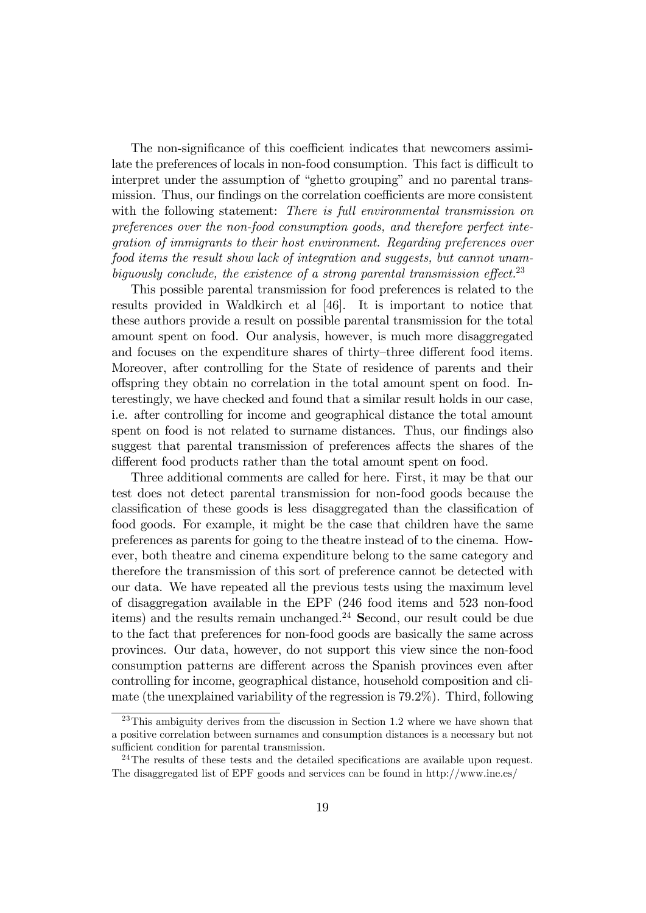The non-significance of this coefficient indicates that newcomers assimilate the preferences of locals in non-food consumption. This fact is difficult to interpret under the assumption of "ghetto grouping" and no parental transmission. Thus, our findings on the correlation coefficients are more consistent with the following statement: There is full environmental transmission on preferences over the non-food consumption goods, and therefore perfect integration of immigrants to their host environment. Regarding preferences over food items the result show lack of integration and suggests, but cannot unambiguously conclude, the existence of a strong parental transmission effect.<sup>23</sup>

This possible parental transmission for food preferences is related to the results provided in Waldkirch et al [46]. It is important to notice that these authors provide a result on possible parental transmission for the total amount spent on food. Our analysis, however, is much more disaggregated and focuses on the expenditure shares of thirty–three different food items. Moreover, after controlling for the State of residence of parents and their o§spring they obtain no correlation in the total amount spent on food. Interestingly, we have checked and found that a similar result holds in our case, i.e. after controlling for income and geographical distance the total amount spent on food is not related to surname distances. Thus, our findings also suggest that parental transmission of preferences affects the shares of the different food products rather than the total amount spent on food.

Three additional comments are called for here. First, it may be that our test does not detect parental transmission for non-food goods because the classification of these goods is less disaggregated than the classification of food goods. For example, it might be the case that children have the same preferences as parents for going to the theatre instead of to the cinema. However, both theatre and cinema expenditure belong to the same category and therefore the transmission of this sort of preference cannot be detected with our data. We have repeated all the previous tests using the maximum level of disaggregation available in the EPF (246 food items and 523 non-food items) and the results remain unchanged.<sup>24</sup> Second, our result could be due to the fact that preferences for non-food goods are basically the same across provinces. Our data, however, do not support this view since the non-food consumption patterns are different across the Spanish provinces even after controlling for income, geographical distance, household composition and climate (the unexplained variability of the regression is 79.2%). Third, following

<sup>23</sup>This ambiguity derives from the discussion in Section 1.2 where we have shown that a positive correlation between surnames and consumption distances is a necessary but not sufficient condition for parental transmission.

 $^{24}$ The results of these tests and the detailed specifications are available upon request. The disaggregated list of EPF goods and services can be found in http://www.ine.es/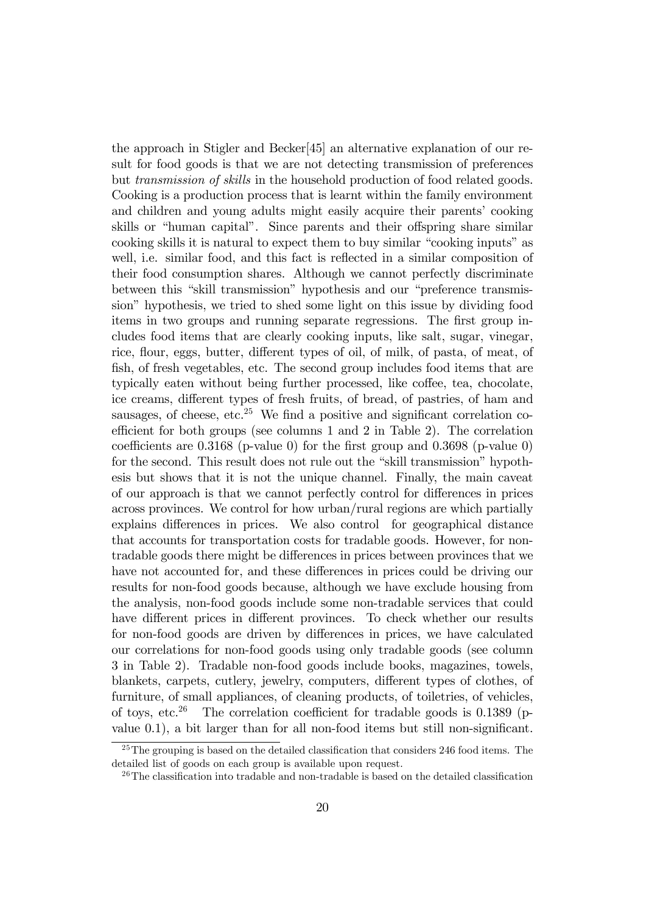the approach in Stigler and Becker[45] an alternative explanation of our result for food goods is that we are not detecting transmission of preferences but transmission of skills in the household production of food related goods. Cooking is a production process that is learnt within the family environment and children and young adults might easily acquire their parents' cooking skills or "human capital". Since parents and their offspring share similar cooking skills it is natural to expect them to buy similar "cooking inputs" as well, i.e. similar food, and this fact is reflected in a similar composition of their food consumption shares. Although we cannot perfectly discriminate between this "skill transmission" hypothesis and our "preference transmissionî hypothesis, we tried to shed some light on this issue by dividing food items in two groups and running separate regressions. The first group includes food items that are clearly cooking inputs, like salt, sugar, vinegar, rice, flour, eggs, butter, different types of oil, of milk, of pasta, of meat, of fish, of fresh vegetables, etc. The second group includes food items that are typically eaten without being further processed, like coffee, tea, chocolate, ice creams, different types of fresh fruits, of bread, of pastries, of ham and sausages, of cheese, etc.<sup>25</sup> We find a positive and significant correlation coefficient for both groups (see columns  $1$  and  $2$  in Table  $2$ ). The correlation coefficients are  $0.3168$  (p-value 0) for the first group and  $0.3698$  (p-value 0) for the second. This result does not rule out the "skill transmission" hypothesis but shows that it is not the unique channel. Finally, the main caveat of our approach is that we cannot perfectly control for differences in prices across provinces. We control for how urban/rural regions are which partially explains differences in prices. We also control for geographical distance that accounts for transportation costs for tradable goods. However, for nontradable goods there might be differences in prices between provinces that we have not accounted for, and these differences in prices could be driving our results for non-food goods because, although we have exclude housing from the analysis, non-food goods include some non-tradable services that could have different prices in different provinces. To check whether our results for non-food goods are driven by differences in prices, we have calculated our correlations for non-food goods using only tradable goods (see column 3 in Table 2). Tradable non-food goods include books, magazines, towels, blankets, carpets, cutlery, jewelry, computers, different types of clothes, of furniture, of small appliances, of cleaning products, of toiletries, of vehicles, of toys, etc.<sup>26</sup> The correlation coefficient for tradable goods is 0.1389 (pvalue  $(0.1)$ , a bit larger than for all non-food items but still non-significant.

<sup>&</sup>lt;sup>25</sup>The grouping is based on the detailed classification that considers 246 food items. The detailed list of goods on each group is available upon request.

 $^{26}$ The classification into tradable and non-tradable is based on the detailed classification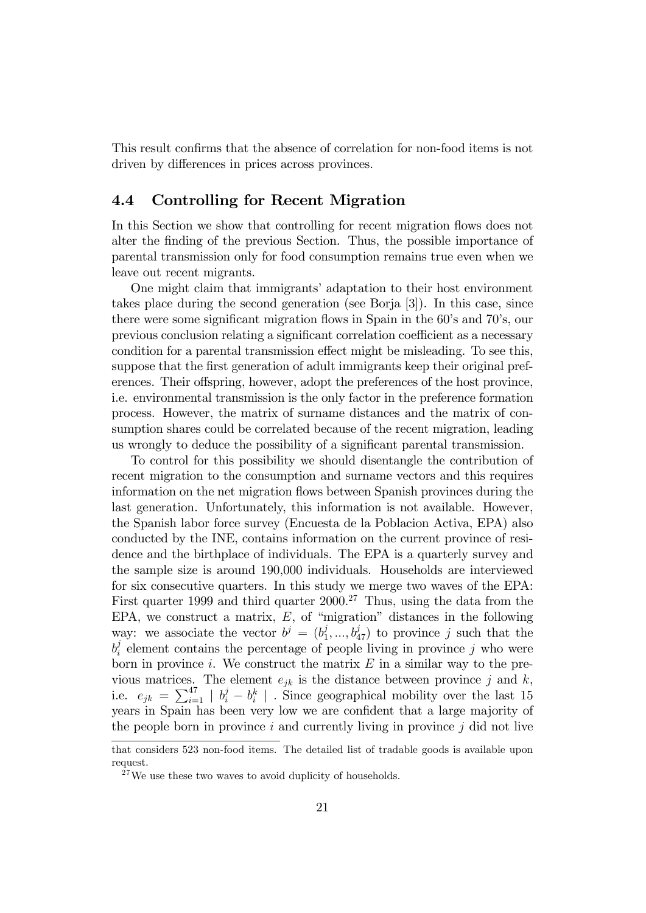This result confirms that the absence of correlation for non-food items is not driven by differences in prices across provinces.

#### 4.4 Controlling for Recent Migration

In this Section we show that controlling for recent migration flows does not alter the finding of the previous Section. Thus, the possible importance of parental transmission only for food consumption remains true even when we leave out recent migrants.

One might claim that immigrants' adaptation to their host environment takes place during the second generation (see Borja [3]). In this case, since there were some significant migration flows in Spain in the 60's and 70's, our previous conclusion relating a significant correlation coefficient as a necessary condition for a parental transmission effect might be misleading. To see this, suppose that the first generation of adult immigrants keep their original preferences. Their offspring, however, adopt the preferences of the host province, i.e. environmental transmission is the only factor in the preference formation process. However, the matrix of surname distances and the matrix of consumption shares could be correlated because of the recent migration, leading us wrongly to deduce the possibility of a significant parental transmission.

To control for this possibility we should disentangle the contribution of recent migration to the consumption and surname vectors and this requires information on the net migration flows between Spanish provinces during the last generation. Unfortunately, this information is not available. However, the Spanish labor force survey (Encuesta de la Poblacion Activa, EPA) also conducted by the INE, contains information on the current province of residence and the birthplace of individuals. The EPA is a quarterly survey and the sample size is around 190,000 individuals. Households are interviewed for six consecutive quarters. In this study we merge two waves of the EPA: First quarter 1999 and third quarter  $2000<sup>27</sup>$  Thus, using the data from the EPA, we construct a matrix,  $E$ , of "migration" distances in the following way: we associate the vector  $b^j = (b_1^j)$  $(i_1^j, ..., b_{47}^j)$  to province j such that the  $b_i^j$  $i$  element contains the percentage of people living in province j who were born in province  $i$ . We construct the matrix  $E$  in a similar way to the previous matrices. The element  $e_{jk}$  is the distance between province j and k, i.e.  $e_{jk} = \sum_{i=1}^{47} |b_i^j - b_i^k|$ . Since geographical mobility over the last 15 years in Spain has been very low we are confident that a large majority of the people born in province  $i$  and currently living in province  $j$  did not live

that considers 523 non-food items. The detailed list of tradable goods is available upon request.

<sup>&</sup>lt;sup>27</sup>We use these two waves to avoid duplicity of households.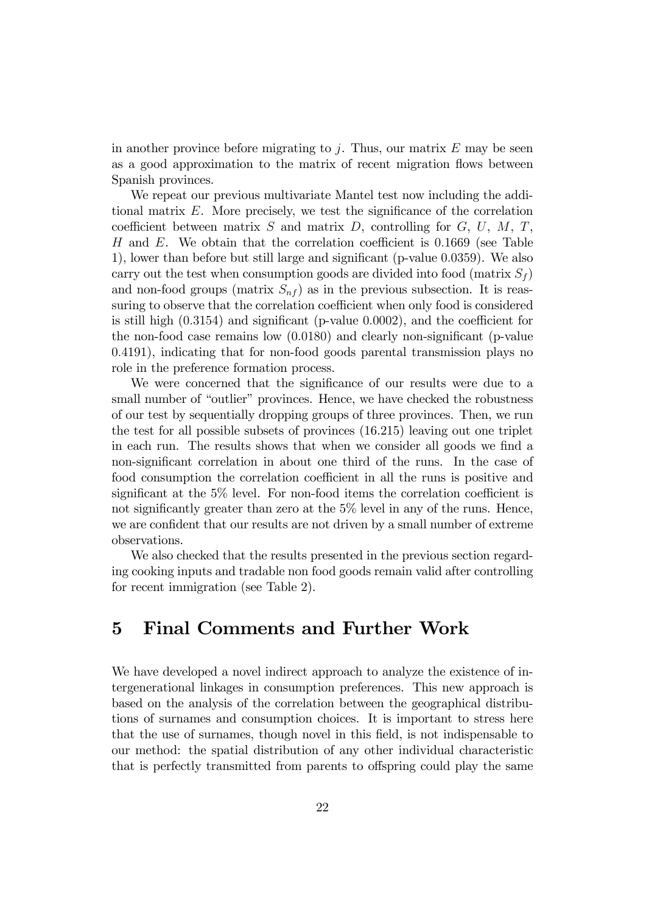in another province before migrating to j. Thus, our matrix  $E$  may be seen as a good approximation to the matrix of recent migration flows between Spanish provinces.

We repeat our previous multivariate Mantel test now including the additional matrix  $E$ . More precisely, we test the significance of the correlation coefficient between matrix S and matrix D, controlling for  $G, U, M, T$ , H and E. We obtain that the correlation coefficient is  $0.1669$  (see Table 1), lower than before but still large and significant (p-value  $0.0359$ ). We also carry out the test when consumption goods are divided into food (matrix  $S_f$ ) and non-food groups (matrix  $S_{nf}$ ) as in the previous subsection. It is reassuring to observe that the correlation coefficient when only food is considered is still high  $(0.3154)$  and significant (p-value 0.0002), and the coefficient for the non-food case remains low  $(0.0180)$  and clearly non-significant (p-value) 0:4191), indicating that for non-food goods parental transmission plays no role in the preference formation process.

We were concerned that the significance of our results were due to a small number of "outlier" provinces. Hence, we have checked the robustness of our test by sequentially dropping groups of three provinces. Then, we run the test for all possible subsets of provinces (16.215) leaving out one triplet in each run. The results shows that when we consider all goods we find a non-significant correlation in about one third of the runs. In the case of food consumption the correlation coefficient in all the runs is positive and significant at the  $5\%$  level. For non-food items the correlation coefficient is not significantly greater than zero at the  $5\%$  level in any of the runs. Hence, we are confident that our results are not driven by a small number of extreme observations.

We also checked that the results presented in the previous section regarding cooking inputs and tradable non food goods remain valid after controlling for recent immigration (see Table 2).

## 5 Final Comments and Further Work

We have developed a novel indirect approach to analyze the existence of intergenerational linkages in consumption preferences. This new approach is based on the analysis of the correlation between the geographical distributions of surnames and consumption choices. It is important to stress here that the use of surnames, though novel in this Öeld, is not indispensable to our method: the spatial distribution of any other individual characteristic that is perfectly transmitted from parents to offspring could play the same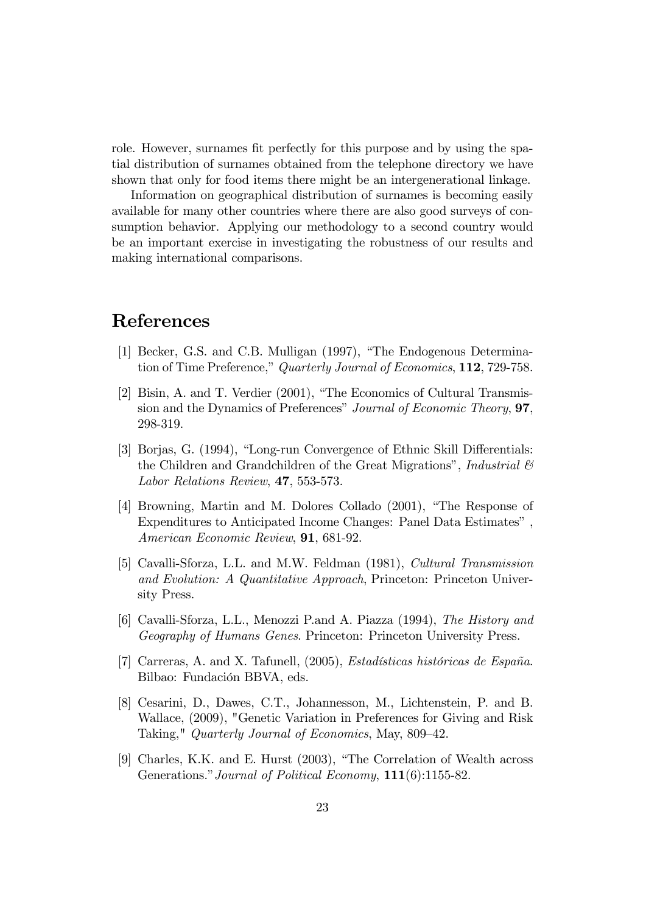role. However, surnames fit perfectly for this purpose and by using the spatial distribution of surnames obtained from the telephone directory we have shown that only for food items there might be an intergenerational linkage.

Information on geographical distribution of surnames is becoming easily available for many other countries where there are also good surveys of consumption behavior. Applying our methodology to a second country would be an important exercise in investigating the robustness of our results and making international comparisons.

# References

- [1] Becker, G.S. and C.B. Mulligan (1997), "The Endogenous Determination of Time Preference," Quarterly Journal of Economics, 112, 729-758.
- [2] Bisin, A. and T. Verdier (2001), "The Economics of Cultural Transmission and the Dynamics of Preferences" Journal of Economic Theory, 97, 298-319.
- [3] Borjas, G. (1994), "Long-run Convergence of Ethnic Skill Differentials: the Children and Grandchildren of the Great Migrations", Industrial  $\mathcal{C}$ Labor Relations Review, 47, 553-573.
- [4] Browning, Martin and M. Dolores Collado (2001), "The Response of Expenditures to Anticipated Income Changes: Panel Data Estimates", American Economic Review, 91, 681-92.
- [5] Cavalli-Sforza, L.L. and M.W. Feldman (1981), Cultural Transmission and Evolution: A Quantitative Approach, Princeton: Princeton University Press.
- [6] Cavalli-Sforza, L.L., Menozzi P.and A. Piazza (1994), The History and Geography of Humans Genes. Princeton: Princeton University Press.
- [7] Carreras, A. and X. Tafunell, (2005), *Estadísticas históricas de España*. Bilbao: Fundación BBVA, eds.
- [8] Cesarini, D., Dawes, C.T., Johannesson, M., Lichtenstein, P. and B. Wallace, (2009), "Genetic Variation in Preferences for Giving and Risk Taking," Quarterly Journal of Economics, May, 809–42.
- [9] Charles, K.K. and E. Hurst (2003), "The Correlation of Wealth across Generations." Journal of Political Economy, 111(6):1155-82.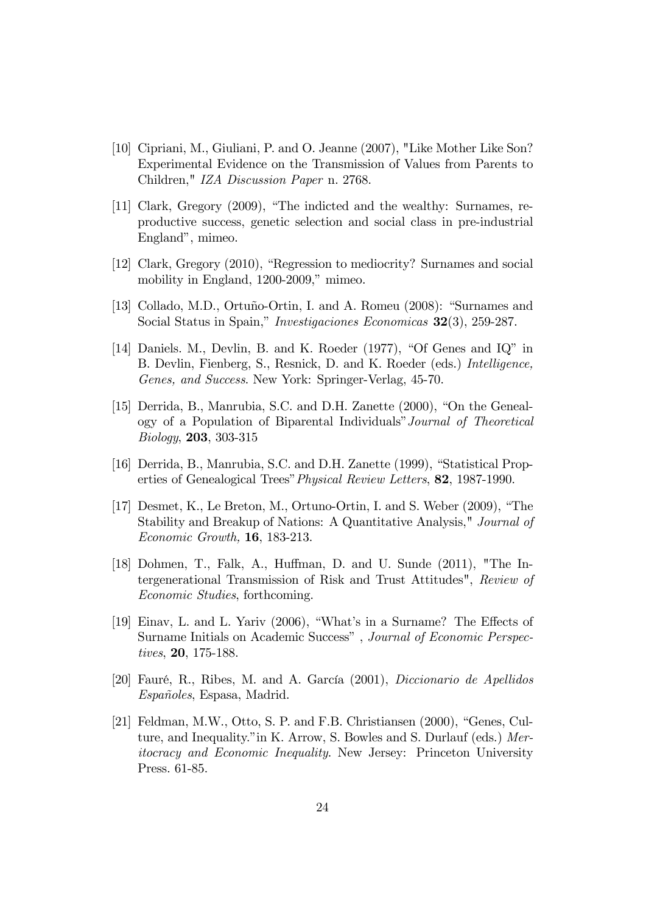- [10] Cipriani, M., Giuliani, P. and O. Jeanne (2007), "Like Mother Like Son? Experimental Evidence on the Transmission of Values from Parents to Children," IZA Discussion Paper n. 2768.
- [11] Clark, Gregory (2009), "The indicted and the wealthy: Surnames, reproductive success, genetic selection and social class in pre-industrial England", mimeo.
- [12] Clark, Gregory (2010), "Regression to mediocrity? Surnames and social mobility in England, 1200-2009," mimeo.
- [13] Collado, M.D., Ortuño-Ortin, I. and A. Romeu (2008): "Surnames and Social Status in Spain," *Investigaciones Economicas* 32(3), 259-287.
- [14] Daniels. M., Devlin, B. and K. Roeder (1977), "Of Genes and IQ" in B. Devlin, Fienberg, S., Resnick, D. and K. Roeder (eds.) Intelligence. Genes, and Success. New York: Springer-Verlag, 45-70.
- [15] Derrida, B., Manrubia, S.C. and D.H. Zanette (2000), "On the Genealogy of a Population of Biparental Individuals" Journal of Theoretical *Biology*, **203**, 303-315
- [16] Derrida, B., Manrubia, S.C. and D.H. Zanette (1999), "Statistical Properties of Genealogical Trees" Physical Review Letters, 82, 1987-1990.
- [17] Desmet, K., Le Breton, M., Ortuno-Ortin, I. and S. Weber (2009), "The Stability and Breakup of Nations: A Quantitative Analysis," Journal of  $Economic$  Growth,  $16$ , 183-213.
- [18] Dohmen, T., Falk, A., Huffman, D. and U. Sunde  $(2011)$ , "The Intergenerational Transmission of Risk and Trust Attitudes", Review of *Economic Studies*, forthcoming.
- [19] Einav, L. and L. Yariv (2006), "What's in a Surname? The Effects of Surname Initials on Academic Success", Journal of Economic Perspectives, 20, 175-188.
- [20] Fauré, R., Ribes, M. and A. García (2001), *Diccionario de Apellidos Españoles*, Espasa, Madrid.
- [21] Feldman, M.W., Otto, S. P. and F.B. Christiansen (2000), "Genes, Culture, and Inequality." in K. Arrow, S. Bowles and S. Durlauf (eds.) Mer*itocracy and Economic Inequality.* New Jersey: Princeton University Press. 61-85.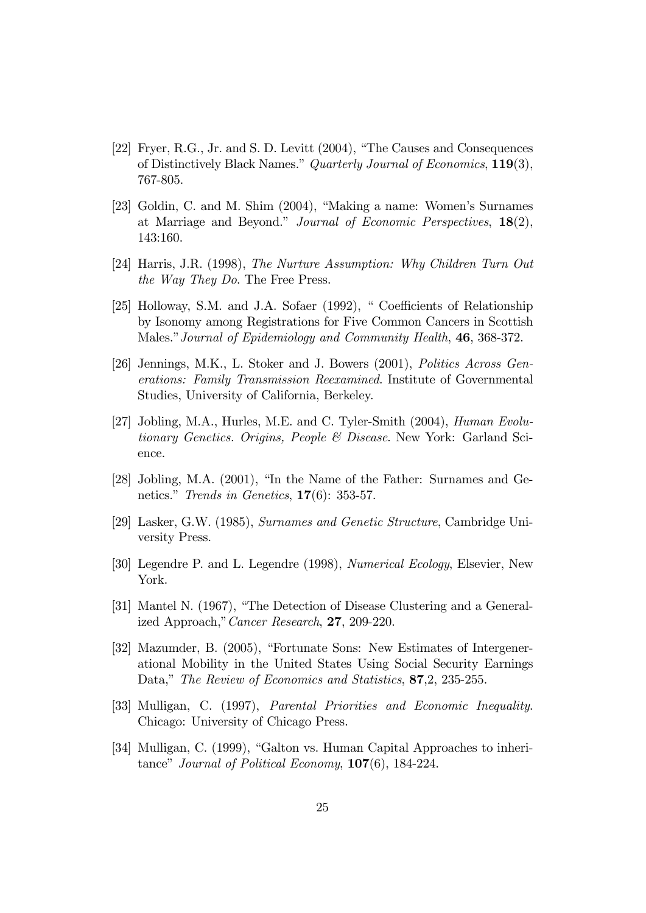- [22] Fryer, R.G., Jr. and S. D. Levitt (2004), "The Causes and Consequences of Distinctively Black Names." Quarterly Journal of Economics,  $119(3)$ , 767-805.
- [23] Goldin, C. and M. Shim (2004), "Making a name: Women's Surnames at Marriage and Beyond." Journal of Economic Perspectives,  $18(2)$ , 143:160.
- [24] Harris, J.R. (1998), The Nurture Assumption: Why Children Turn Out the Way They Do. The Free Press.
- [25] Holloway, S.M. and J.A. Sofaer (1992), "Coefficients of Relationship by Isonomy among Registrations for Five Common Cancers in Scottish Males." Journal of Epidemiology and Community Health, 46, 368-372.
- [26] Jennings, M.K., L. Stoker and J. Bowers (2001), *Politics Across Gen*erations: Family Transmission Reexamined. Institute of Governmental Studies, University of California, Berkeley.
- [27] Jobling, M.A., Hurles, M.E. and C. Tyler-Smith (2004), *Human Evolu*tionary Genetics. Origins, People & Disease. New York: Garland Science.
- [28] Jobling, M.A. (2001), "In the Name of the Father: Surnames and Genetics." Trends in Genetics,  $17(6)$ : 353-57.
- [29] Lasker, G.W. (1985), Surnames and Genetic Structure, Cambridge University Press.
- [30] Legendre P. and L. Legendre (1998), Numerical Ecology, Elsevier, New York.
- [31] Mantel N. (1967), "The Detection of Disease Clustering and a Generalized Approach," Cancer Research, 27, 209-220.
- [32] Mazumder, B. (2005), "Fortunate Sons: New Estimates of Intergenerational Mobility in the United States Using Social Security Earnings Data," The Review of Economics and Statistics, 87,2, 235-255.
- [33] Mulligan, C. (1997), Parental Priorities and Economic Inequality. Chicago: University of Chicago Press.
- [34] Mulligan, C. (1999), "Galton vs. Human Capital Approaches to inheritance" Journal of Political Economy,  $107(6)$ , 184-224.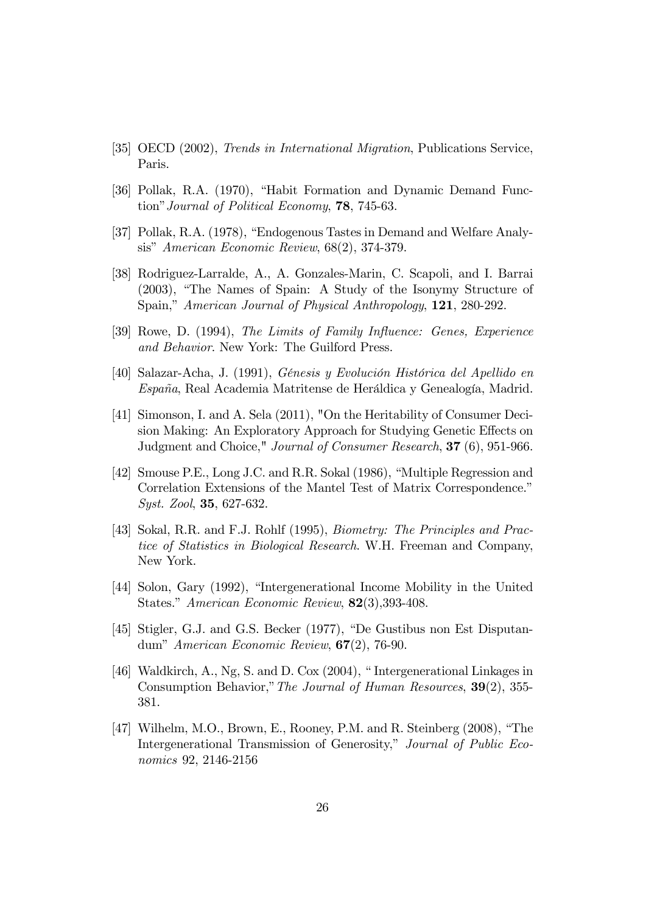- [35] OECD (2002), *Trends in International Migration*, Publications Service, Paris.
- [36] Pollak, R.A. (1970), "Habit Formation and Dynamic Demand Function" Journal of Political Economy, 78, 745-63.
- [37] Pollak, R.A. (1978), "Endogenous Tastes in Demand and Welfare Analysis" American Economic Review, 68(2), 374-379.
- [38] Rodriguez-Larralde, A., A. Gonzales-Marin, C. Scapoli, and I. Barrai (2003), "The Names of Spain: A Study of the Isonymy Structure of Spain," American Journal of Physical Anthropology, 121, 280-292.
- [39] Rowe, D. (1994), The Limits of Family Influence: Genes, Experience and Behavior. New York: The Guilford Press.
- [40] Salazar-Acha, J. (1991), Génesis y Evolución Histórica del Apellido en España. Real Academia Matritense de Heráldica y Genealogía. Madrid.
- [41] Simonson, I. and A. Sela (2011), "On the Heritability of Consumer Decision Making: An Exploratory Approach for Studying Genetic Effects on Judgment and Choice," Journal of Consumer Research, 37 (6), 951-966.
- [42] Smouse P.E., Long J.C. and R.R. Sokal (1986), "Multiple Regression and Correlation Extensions of the Mantel Test of Matrix Correspondence." Syst. Zool, 35, 627-632.
- [43] Sokal, R.R. and F.J. Rohlf (1995), *Biometry: The Principles and Prac*tice of Statistics in Biological Research. W.H. Freeman and Company, New York.
- [44] Solon, Gary (1992), "Intergenerational Income Mobility in the United States." American Economic Review, 82(3), 393-408.
- [45] Stigler, G.J. and G.S. Becker (1977), "De Gustibus non Est Disputandum" American Economic Review,  $67(2)$ , 76-90.
- [46] Waldkirch, A., Ng, S. and D. Cox  $(2004)$ , "Intergenerational Linkages in Consumption Behavior," The Journal of Human Resources, 39(2), 355-381.
- [47] Wilhelm, M.O., Brown, E., Rooney, P.M. and R. Steinberg (2008), "The Intergenerational Transmission of Generosity," Journal of Public Economics 92, 2146-2156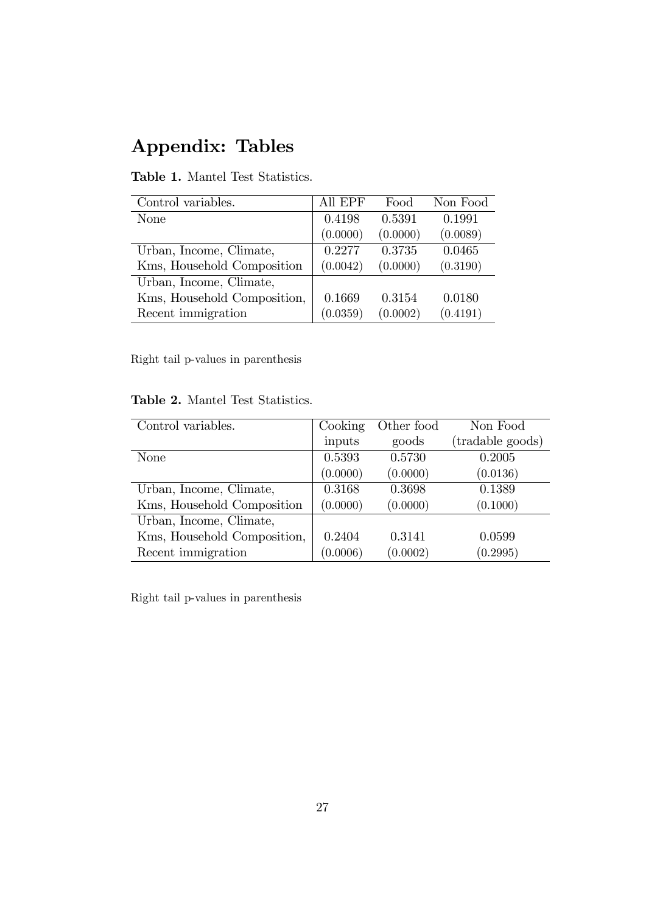# Appendix: Tables

| <b>Table 1.</b> Mantel Test Statistics. |  |
|-----------------------------------------|--|
|                                         |  |

| Control variables.          | All EPF  | Food     | Non Food |
|-----------------------------|----------|----------|----------|
| <b>None</b>                 | 0.4198   | 0.5391   | 0.1991   |
|                             | (0.0000) | (0.0000) | (0.0089) |
| Urban, Income, Climate,     | 0.2277   | 0.3735   | 0.0465   |
| Kms, Household Composition  | (0.0042) | (0.0000) | (0.3190) |
| Urban, Income, Climate,     |          |          |          |
| Kms, Household Composition, | 0.1669   | 0.3154   | 0.0180   |
| Recent immigration          | (0.0359) | (0.0002) | (0.4191) |

Right tail p-values in parenthesis

#### Table 2. Mantel Test Statistics.

| Control variables.          | Cooking  | Other food | Non Food         |
|-----------------------------|----------|------------|------------------|
|                             | inputs   | goods      | (tradable goods) |
| <b>None</b>                 | 0.5393   | 0.5730     | 0.2005           |
|                             | (0.0000) | (0.0000)   | (0.0136)         |
| Urban, Income, Climate,     | 0.3168   | 0.3698     | 0.1389           |
| Kms, Household Composition  | (0.0000) | (0.0000)   | (0.1000)         |
| Urban, Income, Climate,     |          |            |                  |
| Kms, Household Composition, | 0.2404   | 0.3141     | 0.0599           |
| Recent immigration          | (0.0006) | (0.0002)   | (0.2995)         |

Right tail p-values in parenthesis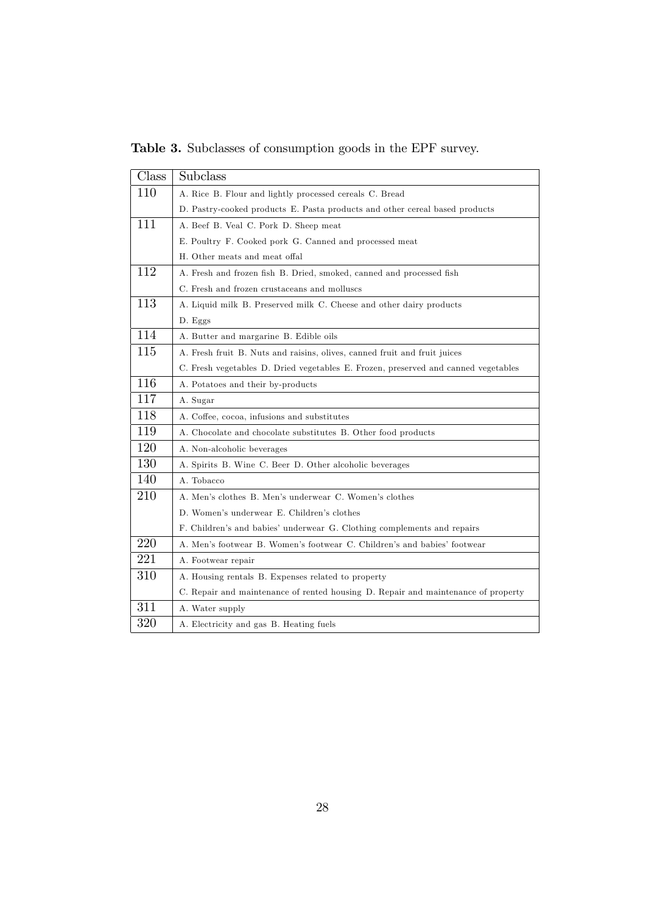Table 3. Subclasses of consumption goods in the EPF survey.

| $\overline{\text{Class}}$ | Subclass                                                                           |
|---------------------------|------------------------------------------------------------------------------------|
| 110                       | A. Rice B. Flour and lightly processed cereals C. Bread                            |
|                           | D. Pastry-cooked products E. Pasta products and other cereal based products        |
| 111                       | A. Beef B. Veal C. Pork D. Sheep meat                                              |
|                           | E. Poultry F. Cooked pork G. Canned and processed meat                             |
|                           | H. Other meats and meat offal                                                      |
| 112                       | A. Fresh and frozen fish B. Dried, smoked, canned and processed fish               |
|                           | C. Fresh and frozen crustaceans and molluscs                                       |
| 113                       | A. Liquid milk B. Preserved milk C. Cheese and other dairy products                |
|                           | D. Eggs                                                                            |
| 114                       | A. Butter and margarine B. Edible oils                                             |
| 115                       | A. Fresh fruit B. Nuts and raisins, olives, canned fruit and fruit juices          |
|                           | C. Fresh vegetables D. Dried vegetables E. Frozen, preserved and canned vegetables |
| 116                       | A. Potatoes and their by-products                                                  |
| 117                       | A. Sugar                                                                           |
| 118                       | A. Coffee, cocoa, infusions and substitutes                                        |
| 119                       | A. Chocolate and chocolate substitutes B. Other food products                      |
| 120                       | A. Non-alcoholic beverages                                                         |
| 130                       | A. Spirits B. Wine C. Beer D. Other alcoholic beverages                            |
| 140                       | A. Tobacco                                                                         |
| 210                       | A. Men's clothes B. Men's underwear C. Women's clothes                             |
|                           | D. Women's underwear E. Children's clothes                                         |
|                           | F. Children's and babies' underwear G. Clothing complements and repairs            |
| 220                       | A. Men's footwear B. Women's footwear C. Children's and babies' footwear           |
| 221                       | A. Footwear repair                                                                 |
| 310                       | A. Housing rentals B. Expenses related to property                                 |
|                           | C. Repair and maintenance of rented housing D. Repair and maintenance of property  |
| 311                       | A. Water supply                                                                    |
| 320                       | A. Electricity and gas B. Heating fuels                                            |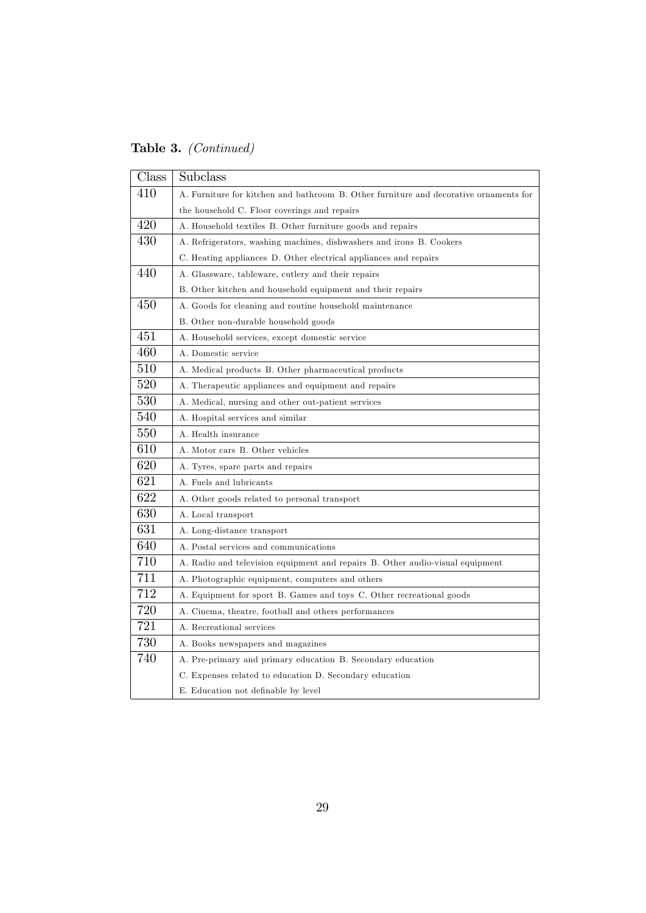Table 3. (Continued)

| Class | Subclass                                                                              |
|-------|---------------------------------------------------------------------------------------|
| 410   | A. Furniture for kitchen and bathroom B. Other furniture and decorative ornaments for |
|       | the household C. Floor coverings and repairs                                          |
| 420   | A. Household textiles B. Other furniture goods and repairs                            |
| 430   | A. Refrigerators, washing machines, dishwashers and irons B. Cookers                  |
|       | C. Heating appliances D. Other electrical appliances and repairs                      |
| 440   | A. Glassware, tableware, cutlery and their repairs                                    |
|       | B. Other kitchen and household equipment and their repairs                            |
| 450   | A. Goods for cleaning and routine household maintenance                               |
|       | B. Other non-durable household goods                                                  |
| 451   | A. Household services, except domestic service                                        |
| 460   | A. Domestic service                                                                   |
| 510   | A. Medical products B. Other pharmaceutical products                                  |
| 520   | A. Therapeutic appliances and equipment and repairs                                   |
| 530   | A. Medical, nursing and other out-patient services                                    |
| 540   | A. Hospital services and similar                                                      |
| 550   | A. Health insurance                                                                   |
| 610   | A. Motor cars B. Other vehicles                                                       |
| 620   | A. Tyres, spare parts and repairs                                                     |
| 621   | A. Fuels and lubricants                                                               |
| 622   | A. Other goods related to personal transport                                          |
| 630   | A. Local transport                                                                    |
| 631   | A. Long-distance transport                                                            |
| 640   | A. Postal services and communications                                                 |
| 710   | A. Radio and television equipment and repairs B. Other audio-visual equipment         |
| 711   | A. Photographic equipment, computers and others                                       |
| 712   | A. Equipment for sport B. Games and toys C. Other recreational goods                  |
| 720   | A. Cinema, theatre, football and others performances                                  |
| 721   | A. Recreational services                                                              |
| 730   | A. Books newspapers and magazines                                                     |
| 740   | A. Pre-primary and primary education B. Secondary education                           |
|       | C. Expenses related to education D. Secondary education                               |
|       | E. Education not definable by level                                                   |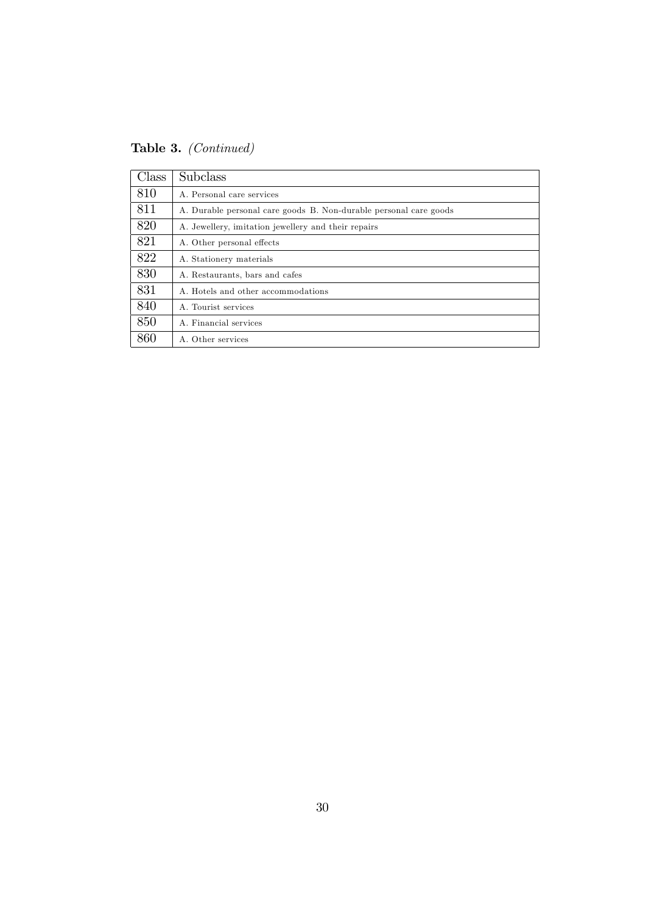Table 3. (Continued)

| Class | Subclass                                                          |
|-------|-------------------------------------------------------------------|
| 810   | A. Personal care services                                         |
| 811   | A. Durable personal care goods B. Non-durable personal care goods |
| 820   | A. Jewellery, imitation jewellery and their repairs               |
| 821   | A. Other personal effects                                         |
| 822   | A. Stationery materials                                           |
| 830   | A. Restaurants, bars and cafes                                    |
| 831   | A. Hotels and other accommodations                                |
| 840   | A. Tourist services                                               |
| 850   | A. Financial services                                             |
| 860   | A. Other services                                                 |